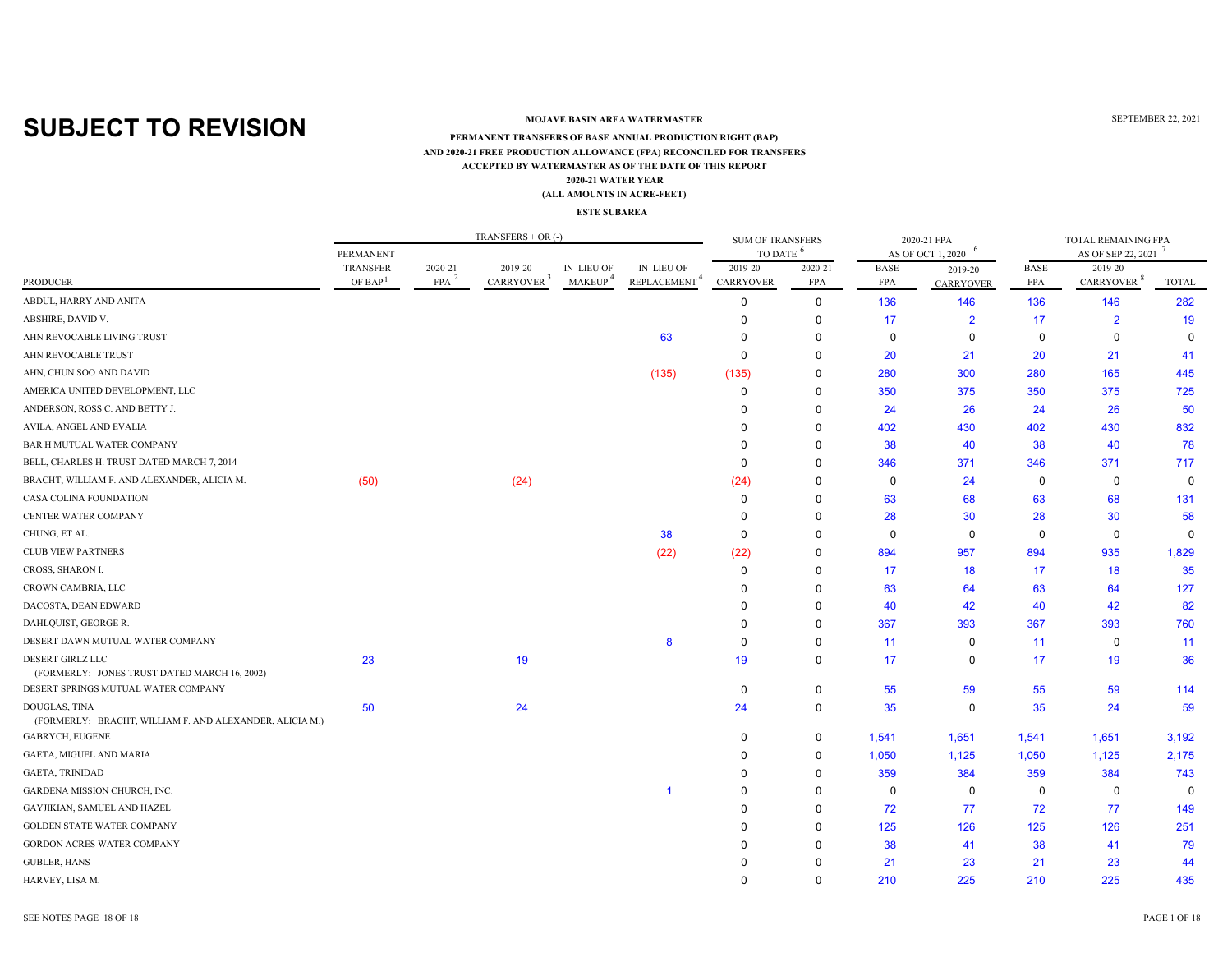### **MOJAVE BASIN AREA WATERMASTER**

#### **ACCEPTED BY WATERMASTER AS OF THE DATE OF THIS REPORT(ALL AMOUNTS IN ACRE-FEET) PERMANENT TRANSFERS OF BASE ANNUAL PRODUCTION RIGHT (BAP) 2020-21 WATER YEAR AND 2020-21 FREE PRODUCTION ALLOWANCE (FPA) RECONCILED FOR TRANSFERS**

#### **ESTE SUBAREA**

|                                                                          |                                 |                       | $TRANSFERS + OR (-)$              |                                   |                                        | <b>SUM OF TRANSFERS</b>     |                       |                    | 2020-21 FPA       |                           | TOTAL REMAINING FPA               |              |
|--------------------------------------------------------------------------|---------------------------------|-----------------------|-----------------------------------|-----------------------------------|----------------------------------------|-----------------------------|-----------------------|--------------------|-------------------|---------------------------|-----------------------------------|--------------|
|                                                                          | <b>PERMANENT</b>                |                       |                                   |                                   |                                        | TO DATE <sup>6</sup>        |                       |                    | AS OF OCT 1, 2020 |                           | AS OF SEP 22, 2021                |              |
| <b>PRODUCER</b>                                                          | TRANSFER<br>OF BAP <sup>1</sup> | 2020-21<br><b>FPA</b> | 2019-20<br>CARRYOVER <sup>3</sup> | IN LIEU OF<br>MAKEUP <sup>4</sup> | IN LIEU OF<br>REPLACEMENT <sup>4</sup> | 2019-20<br><b>CARRYOVER</b> | 2020-21<br><b>FPA</b> | <b>BASE</b><br>FPA | 2019-20           | <b>BASE</b><br><b>FPA</b> | 2019-20<br>CARRYOVER <sup>8</sup> | <b>TOTAL</b> |
|                                                                          |                                 |                       |                                   |                                   |                                        |                             |                       |                    | <b>CARRYOVER</b>  |                           |                                   |              |
| ABDUL, HARRY AND ANITA                                                   |                                 |                       |                                   |                                   |                                        | 0                           | $\mathbf 0$           | 136                | 146               | 136                       | 146                               | 282          |
| ABSHIRE, DAVID V.                                                        |                                 |                       |                                   |                                   |                                        | $\Omega$                    | $\mathbf 0$           | 17                 | $\overline{2}$    | 17                        | $\overline{2}$                    | 19           |
| AHN REVOCABLE LIVING TRUST                                               |                                 |                       |                                   |                                   | 63                                     | $\Omega$                    | $\Omega$              | $\mathbf 0$        | $\mathbf 0$       | 0                         | $\mathbf 0$                       | $\mathbf 0$  |
| AHN REVOCABLE TRUST                                                      |                                 |                       |                                   |                                   |                                        | $\mathbf 0$                 | $\Omega$              | 20                 | 21                | 20                        | 21                                | 41           |
| AHN, CHUN SOO AND DAVID                                                  |                                 |                       |                                   |                                   | (135)                                  | (135)                       | 0                     | 280                | 300               | 280                       | 165                               | 445          |
| AMERICA UNITED DEVELOPMENT, LLC                                          |                                 |                       |                                   |                                   |                                        | $\mathbf 0$                 | 0                     | 350                | 375               | 350                       | 375                               | 725          |
| ANDERSON, ROSS C. AND BETTY J.                                           |                                 |                       |                                   |                                   |                                        | $\Omega$                    | 0                     | 24                 | 26                | 24                        | 26                                | 50           |
| AVILA, ANGEL AND EVALIA                                                  |                                 |                       |                                   |                                   |                                        | <sup>0</sup>                | 0                     | 402                | 430               | 402                       | 430                               | 832          |
| BAR H MUTUAL WATER COMPANY                                               |                                 |                       |                                   |                                   |                                        | $\Omega$                    | $\Omega$              | 38                 | 40                | 38                        | 40                                | 78           |
| BELL, CHARLES H. TRUST DATED MARCH 7, 2014                               |                                 |                       |                                   |                                   |                                        | $\Omega$                    | $\Omega$              | 346                | 371               | 346                       | 371                               | 717          |
| BRACHT, WILLIAM F. AND ALEXANDER, ALICIA M.                              | (50)                            |                       | (24)                              |                                   |                                        | (24)                        | 0                     | $\mathbf 0$        | 24                | 0                         | $\mathbf 0$                       | $\mathbf 0$  |
| CASA COLINA FOUNDATION                                                   |                                 |                       |                                   |                                   |                                        | $\mathbf 0$                 | $\Omega$              | 63                 | 68                | 63                        | 68                                | 131          |
| CENTER WATER COMPANY                                                     |                                 |                       |                                   |                                   |                                        | $\Omega$                    | 0                     | 28                 | 30                | 28                        | 30                                | 58           |
| CHUNG, ET AL.                                                            |                                 |                       |                                   |                                   | 38                                     | $\mathbf 0$                 | $\Omega$              | $\Omega$           | 0                 | $\mathbf 0$               | 0                                 | $\mathbf 0$  |
| <b>CLUB VIEW PARTNERS</b>                                                |                                 |                       |                                   |                                   | (22)                                   | (22)                        | O                     | 894                | 957               | 894                       | 935                               | 1,829        |
| CROSS, SHARON I.                                                         |                                 |                       |                                   |                                   |                                        | $\Omega$                    | 0                     | 17                 | 18                | 17                        | 18                                | 35           |
| CROWN CAMBRIA, LLC                                                       |                                 |                       |                                   |                                   |                                        | $\Omega$                    | $\Omega$              | 63                 | 64                | 63                        | 64                                | 127          |
| DACOSTA, DEAN EDWARD                                                     |                                 |                       |                                   |                                   |                                        |                             | 0                     | 40                 | 42                | 40                        | 42                                | 82           |
| DAHLQUIST, GEORGE R.                                                     |                                 |                       |                                   |                                   |                                        | $\Omega$                    | $\Omega$              | 367                | 393               | 367                       | 393                               | 760          |
| DESERT DAWN MUTUAL WATER COMPANY                                         |                                 |                       |                                   |                                   | 8                                      | $\Omega$                    | $\Omega$              | 11                 | $\Omega$          | 11                        | 0                                 | 11           |
| DESERT GIRLZ LLC<br>(FORMERLY: JONES TRUST DATED MARCH 16, 2002)         | 23                              |                       | 19                                |                                   |                                        | 19                          | 0                     | 17                 | $\mathbf 0$       | 17                        | 19                                | 36           |
| DESERT SPRINGS MUTUAL WATER COMPANY                                      |                                 |                       |                                   |                                   |                                        | 0                           | 0                     | 55                 | 59                | 55                        | 59                                | 114          |
| DOUGLAS, TINA<br>(FORMERLY: BRACHT, WILLIAM F. AND ALEXANDER, ALICIA M.) | 50                              |                       | 24                                |                                   |                                        | 24                          | 0                     | 35                 | 0                 | 35                        | 24                                | 59           |
| GABRYCH, EUGENE                                                          |                                 |                       |                                   |                                   |                                        | $\Omega$                    | 0                     | 1,541              | 1,651             | 1,541                     | 1,651                             | 3,192        |
| GAETA, MIGUEL AND MARIA                                                  |                                 |                       |                                   |                                   |                                        | $\Omega$                    | 0                     | 1,050              | 1,125             | 1,050                     | 1,125                             | 2,175        |
| <b>GAETA, TRINIDAD</b>                                                   |                                 |                       |                                   |                                   |                                        | $\Omega$                    | $\mathbf 0$           | 359                | 384               | 359                       | 384                               | 743          |
| GARDENA MISSION CHURCH, INC.                                             |                                 |                       |                                   |                                   | -1                                     | 0                           | $\Omega$              | $\mathbf 0$        | $\mathbf 0$       | 0                         | 0                                 | $\mathbf 0$  |
| GAYJIKIAN, SAMUEL AND HAZEL                                              |                                 |                       |                                   |                                   |                                        | $\Omega$                    | $\Omega$              | 72                 | 77                | 72                        | 77                                | 149          |
| <b>GOLDEN STATE WATER COMPANY</b>                                        |                                 |                       |                                   |                                   |                                        | $\Omega$                    | 0                     | 125                | 126               | 125                       | 126                               | 251          |
| GORDON ACRES WATER COMPANY                                               |                                 |                       |                                   |                                   |                                        | $\Omega$                    | O                     | 38                 | 41                | 38                        | 41                                | 79           |
| <b>GUBLER, HANS</b>                                                      |                                 |                       |                                   |                                   |                                        | $\Omega$                    |                       | 21                 | 23                | 21                        | 23                                | 44           |
| HARVEY, LISA M.                                                          |                                 |                       |                                   |                                   |                                        | $\Omega$                    | $\Omega$              | 210                | 225               | 210                       | 225                               | 435          |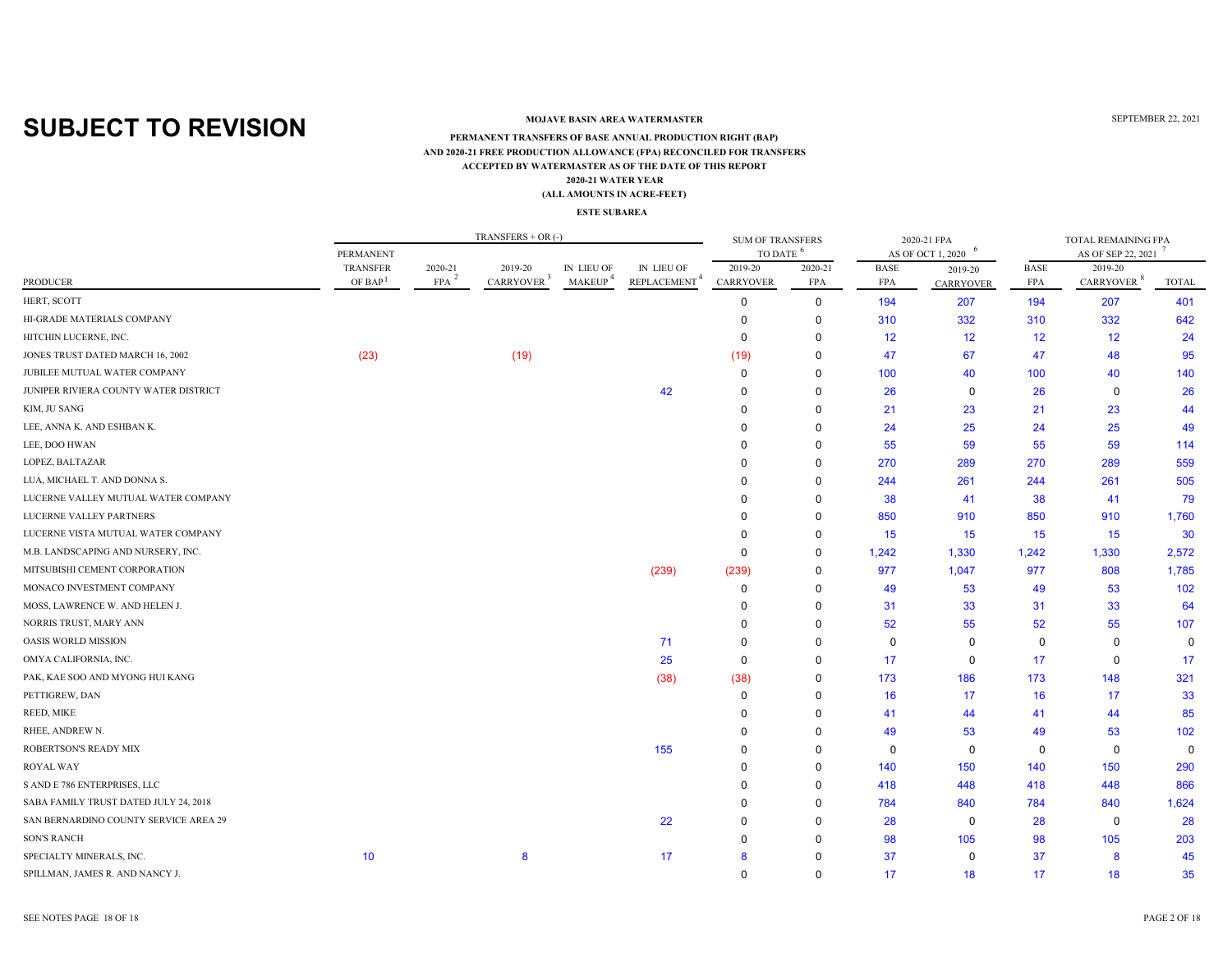### **MOJAVE BASIN AREA WATERMASTER**

#### **ACCEPTED BY WATERMASTER AS OF THE DATE OF THIS REPORT(ALL AMOUNTS IN ACRE-FEET) PERMANENT TRANSFERS OF BASE ANNUAL PRODUCTION RIGHT (BAP) 2020-21 WATER YEAR AND 2020-21 FREE PRODUCTION ALLOWANCE (FPA) RECONCILED FOR TRANSFERS**

#### **ESTE SUBAREA**

|                                       |                     |            | $TRANSFERS + OR$ (-)   |               |                          | <b>SUM OF TRANSFERS</b> |             |             | 2020-21 FPA             |                 | TOTAL REMAINING FPA    |             |
|---------------------------------------|---------------------|------------|------------------------|---------------|--------------------------|-------------------------|-------------|-------------|-------------------------|-----------------|------------------------|-------------|
|                                       | PERMANENT           |            |                        |               |                          | TO DATE <sup>6</sup>    |             |             | -6<br>AS OF OCT 1, 2020 |                 | AS OF SEP 22, 2021     |             |
|                                       | TRANSFER            | 2020-21    | 2019-20                | IN LIEU OF    | IN LIEU OF               | 2019-20                 | 2020-21     | <b>BASE</b> | 2019-20                 | <b>BASE</b>     | 2019-20                |             |
| <b>PRODUCER</b>                       | OF BAP <sup>1</sup> | <b>FPA</b> | CARRYOVER <sup>3</sup> | <b>MAKEUP</b> | REPLACEMENT <sup>4</sup> | <b>CARRYOVER</b>        | FPA         | <b>FPA</b>  | <b>CARRYOVER</b>        | FPA             | CARRYOVER <sup>8</sup> | TOTAL       |
| HERT, SCOTT                           |                     |            |                        |               |                          | 0                       | $\mathbf 0$ | 194         | 207                     | 194             | 207                    | 401         |
| HI-GRADE MATERIALS COMPANY            |                     |            |                        |               |                          | 0                       | 0           | 310         | 332                     | 310             | 332                    | 642         |
| HITCHIN LUCERNE, INC.                 |                     |            |                        |               |                          | $\Omega$                | 0           | 12          | $12 \overline{ }$       | 12 <sup>2</sup> | 12                     | 24          |
| JONES TRUST DATED MARCH 16, 2002      | (23)                |            | (19)                   |               |                          | (19)                    | 0           | 47          | 67                      | 47              | 48                     | 95          |
| JUBILEE MUTUAL WATER COMPANY          |                     |            |                        |               |                          | $\mathbf 0$             | 0           | 100         | 40                      | 100             | 40                     | 140         |
| JUNIPER RIVIERA COUNTY WATER DISTRICT |                     |            |                        |               | 42                       | $\Omega$                | 0           | 26          | 0                       | 26              | $\mathbf 0$            | 26          |
| KIM, JU SANG                          |                     |            |                        |               |                          | $\Omega$                | 0           | 21          | 23                      | 21              | 23                     | 44          |
| LEE, ANNA K. AND ESHBAN K.            |                     |            |                        |               |                          | $\Omega$                | 0           | 24          | 25                      | 24              | 25                     | 49          |
| LEE, DOO HWAN                         |                     |            |                        |               |                          | $\Omega$                | $\Omega$    | 55          | 59                      | 55              | 59                     | 114         |
| LOPEZ, BALTAZAR                       |                     |            |                        |               |                          | $\Omega$                | 0           | 270         | 289                     | 270             | 289                    | 559         |
| LUA, MICHAEL T. AND DONNA S.          |                     |            |                        |               |                          | $\Omega$                | $\Omega$    | 244         | 261                     | 244             | 261                    | 505         |
| LUCERNE VALLEY MUTUAL WATER COMPANY   |                     |            |                        |               |                          |                         | $\Omega$    | 38          | 41                      | 38              | 41                     | 79          |
| LUCERNE VALLEY PARTNERS               |                     |            |                        |               |                          |                         | $\Omega$    | 850         | 910                     | 850             | 910                    | 1,760       |
| LUCERNE VISTA MUTUAL WATER COMPANY    |                     |            |                        |               |                          | $\Omega$                | 0           | 15          | 15                      | 15              | 15                     | 30          |
| M.B. LANDSCAPING AND NURSERY, INC.    |                     |            |                        |               |                          | 0                       | 0           | 1,242       | 1,330                   | 1,242           | 1,330                  | 2,572       |
| MITSUBISHI CEMENT CORPORATION         |                     |            |                        |               | (239)                    | (239)                   | $\Omega$    | 977         | 1,047                   | 977             | 808                    | 1,785       |
| MONACO INVESTMENT COMPANY             |                     |            |                        |               |                          | $\mathbf 0$             | 0           | 49          | 53                      | 49              | 53                     | 102         |
| MOSS, LAWRENCE W. AND HELEN J.        |                     |            |                        |               |                          | 0                       | $\Omega$    | 31          | 33                      | 31              | 33                     | 64          |
| NORRIS TRUST, MARY ANN                |                     |            |                        |               |                          | $\Omega$                | $\Omega$    | 52          | 55                      | 52              | 55                     | 107         |
| <b>OASIS WORLD MISSION</b>            |                     |            |                        |               | 71                       | $\Omega$                | $\Omega$    | $\Omega$    | $\Omega$                | $\mathbf 0$     | $\mathbf 0$            | $\mathbf 0$ |
| OMYA CALIFORNIA, INC.                 |                     |            |                        |               | 25                       | 0                       | 0           | 17          | 0                       | 17              | 0                      | 17          |
| PAK, KAE SOO AND MYONG HUI KANG       |                     |            |                        |               | (38)                     | (38)                    | 0           | 173         | 186                     | 173             | 148                    | 321         |
| PETTIGREW, DAN                        |                     |            |                        |               |                          | 0                       | 0           | 16          | 17                      | 16              | 17                     | 33          |
| REED, MIKE                            |                     |            |                        |               |                          | $\Omega$                | 0           | 41          | 44                      | 41              | 44                     | 85          |
| RHEE, ANDREW N.                       |                     |            |                        |               |                          | $\Omega$                | $\Omega$    | 49          | 53                      | 49              | 53                     | 102         |
| ROBERTSON'S READY MIX                 |                     |            |                        |               | 155                      | $\Omega$                | $\Omega$    | $\Omega$    | 0                       | 0               | $\mathbf 0$            | $\mathbf 0$ |
| <b>ROYAL WAY</b>                      |                     |            |                        |               |                          | $\Omega$                | $\Omega$    | 140         | 150                     | 140             | 150                    | 290         |
| S AND E 786 ENTERPRISES, LLC          |                     |            |                        |               |                          | $\Omega$                | 0           | 418         | 448                     | 418             | 448                    | 866         |
| SABA FAMILY TRUST DATED JULY 24, 2018 |                     |            |                        |               |                          | $\Omega$                | 0           | 784         | 840                     | 784             | 840                    | 1,624       |
| SAN BERNARDINO COUNTY SERVICE AREA 29 |                     |            |                        |               | 22                       | $\Omega$                | $\Omega$    | 28          | 0                       | 28              | 0                      | 28          |
| <b>SON'S RANCH</b>                    |                     |            |                        |               |                          | 0                       | O           | 98          | 105                     | 98              | 105                    | 203         |
| SPECIALTY MINERALS, INC.              | 10                  |            | 8                      |               | 17                       | 8                       |             | 37          | 0                       | 37              | 8                      | 45          |
| SPILLMAN, JAMES R. AND NANCY J.       |                     |            |                        |               |                          | $\Omega$                | $\Omega$    | 17          | 18                      | 17              | 18                     | 35          |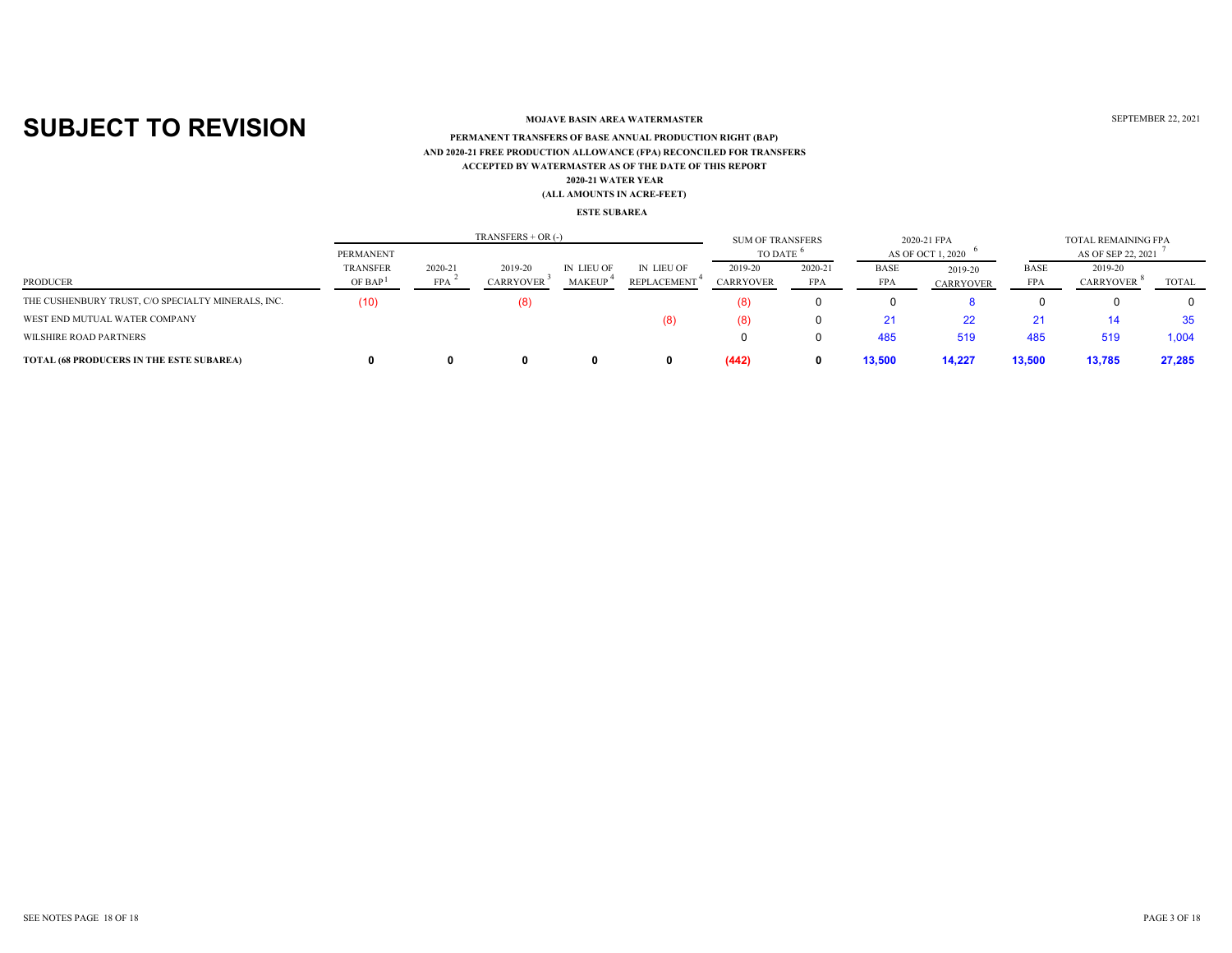### **MOJAVE BASIN AREA WATERMASTER**

### **ACCEPTED BY WATERMASTER AS OF THE DATE OF THIS REPORT(ALL AMOUNTS IN ACRE-FEET) PERMANENT TRANSFERS OF BASE ANNUAL PRODUCTION RIGHT (BAP) 2020-21 WATER YEAR AND 2020-21 FREE PRODUCTION ALLOWANCE (FPA) RECONCILED FOR TRANSFERS**

#### **ESTE SUBAREA**

|                                                    | PERMANENT                              |                       | $TRANSFERS + OR$ (-)        |                             |                                  | <b>SUM OF TRANSFERS</b><br>TO DATE |                       |                           | 2020-21 FPA<br>AS OF OCT 1, 2020 |                           | TOTAL REMAINING FPA<br>AS OF SEP 22, 2021 |        |
|----------------------------------------------------|----------------------------------------|-----------------------|-----------------------------|-----------------------------|----------------------------------|------------------------------------|-----------------------|---------------------------|----------------------------------|---------------------------|-------------------------------------------|--------|
| PRODUCER                                           | <b>TRANSFER</b><br>OF BAP <sup>1</sup> | 2020-21<br><b>FPA</b> | 2019-20<br><b>CARRYOVER</b> | IN LIEU OF<br><b>MAKEUP</b> | IN LIEU OF<br><b>REPLACEMENT</b> | 2019-20<br><b>CARRYOVER</b>        | 2020-21<br><b>FPA</b> | <b>BASE</b><br><b>FPA</b> | 2019-20<br><b>CARRYOVER</b>      | <b>BASE</b><br><b>FPA</b> | 2019-20<br><b>CARRYOVER</b>               | TOTAL  |
| THE CUSHENBURY TRUST, C/O SPECIALTY MINERALS, INC. | (10)                                   |                       | (8)                         |                             |                                  | (8)                                |                       |                           |                                  |                           |                                           |        |
| WEST END MUTUAL WATER COMPANY                      |                                        |                       |                             |                             | (8)                              | (8)                                | 0                     |                           | 22                               | 21                        | 14                                        | 35     |
| WILSHIRE ROAD PARTNERS                             |                                        |                       |                             |                             |                                  |                                    | 0                     | 485                       | 519                              | 485                       | 519                                       | 1,004  |
| <b>TOTAL (68 PRODUCERS IN THE ESTE SUBAREA)</b>    |                                        |                       | n                           |                             |                                  | (442)                              | 0                     | 13,500                    | 14,227                           | 13,500                    | 13,785                                    | 27,285 |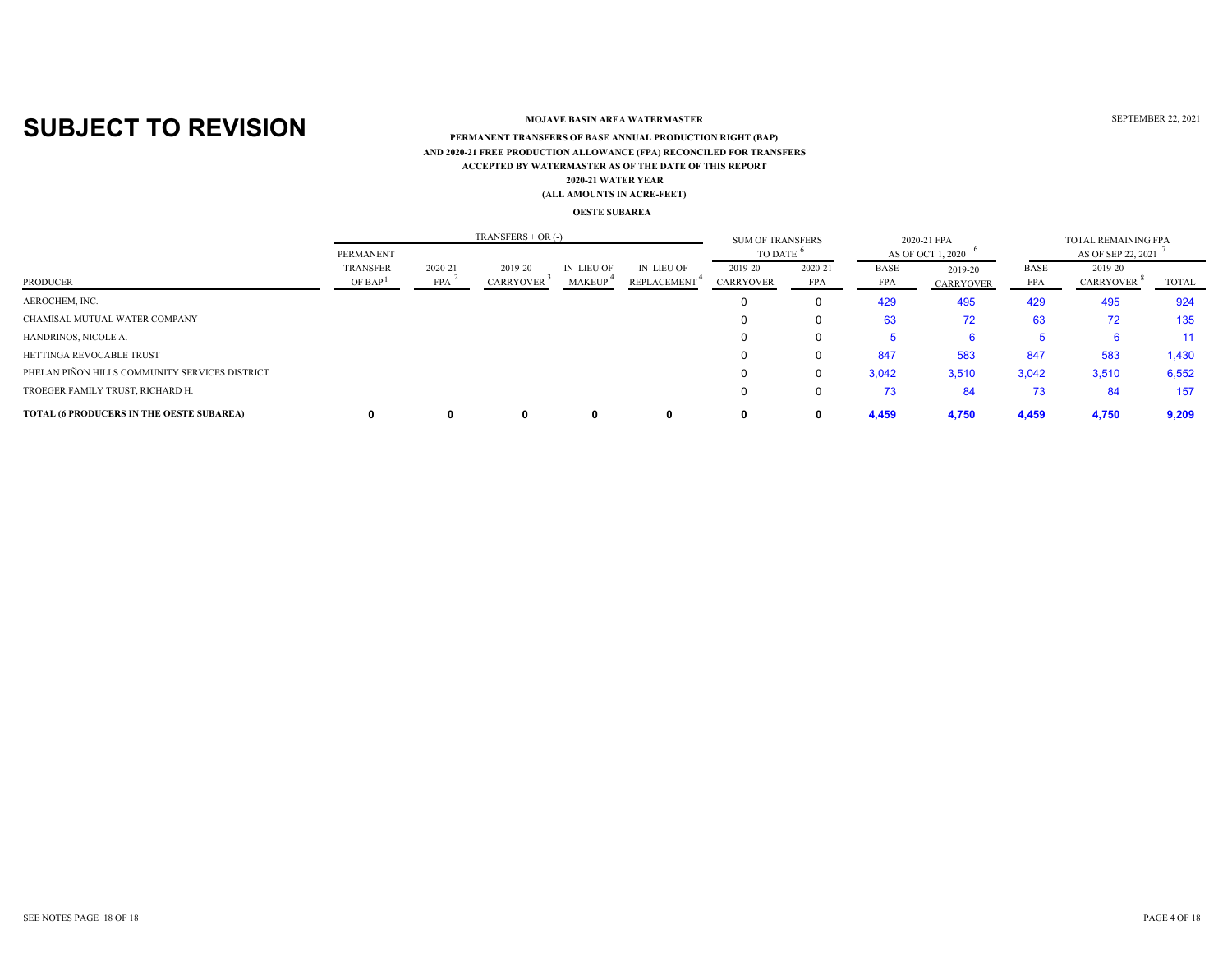### **MOJAVE BASIN AREA WATERMASTER**

#### **ACCEPTED BY WATERMASTER AS OF THE DATE OF THIS REPORT(ALL AMOUNTS IN ACRE-FEET) PERMANENT TRANSFERS OF BASE ANNUAL PRODUCTION RIGHT (BAP) 2020-21 WATER YEAR AND 2020-21 FREE PRODUCTION ALLOWANCE (FPA) RECONCILED FOR TRANSFERS**

#### **OESTE SUBAREA**

|                                                 |                                        |                       | TRANSFERS $+$ OR $(-)$      |                             |                                         | <b>SUM OF TRANSFERS</b>     |                |             | 2020-21 FPA                 |                           | TOTAL REMAINING FPA         |       |
|-------------------------------------------------|----------------------------------------|-----------------------|-----------------------------|-----------------------------|-----------------------------------------|-----------------------------|----------------|-------------|-----------------------------|---------------------------|-----------------------------|-------|
|                                                 | PERMANENT                              |                       |                             |                             |                                         | TO DATE                     |                |             | AS OF OCT 1, 2020           |                           | AS OF SEP 22, 2021          |       |
| PRODUCER                                        | <b>TRANSFER</b><br>OF BAP <sup>1</sup> | 2020-21<br><b>FPA</b> | 2019-20<br><b>CARRYOVER</b> | IN LIEU OF<br><b>MAKEUP</b> | <b>IN LIEU OF</b><br><b>REPLACEMENT</b> | 2019-20<br><b>CARRYOVER</b> | 2020-21<br>FPA | BASE<br>FPA | 2019-20<br><b>CARRYOVER</b> | <b>BASE</b><br><b>FPA</b> | 2019-20<br><b>CARRYOVER</b> | TOTAL |
| AEROCHEM, INC.                                  |                                        |                       |                             |                             |                                         |                             | $\Omega$       | 429         | 495                         | 429                       | 495                         | 924   |
| CHAMISAL MUTUAL WATER COMPANY                   |                                        |                       |                             |                             |                                         |                             | 0              | 63          | 72                          | 63                        | 72                          | 135   |
| HANDRINOS, NICOLE A.                            |                                        |                       |                             |                             |                                         |                             | 0              |             |                             |                           |                             | 11    |
| HETTINGA REVOCABLE TRUST                        |                                        |                       |                             |                             |                                         |                             | 0              | 847         | 583                         | 847                       | 583                         | 1,430 |
| PHELAN PIÑON HILLS COMMUNITY SERVICES DISTRICT  |                                        |                       |                             |                             |                                         |                             | 0              | 3,042       | 3,510                       | 3,042                     | 3,510                       | 6,552 |
| TROEGER FAMILY TRUST, RICHARD H.                |                                        |                       |                             |                             |                                         |                             | 0              | 73          | 84                          | 73                        | 84                          | 157   |
| <b>TOTAL (6 PRODUCERS IN THE OESTE SUBAREA)</b> |                                        |                       | 0                           |                             |                                         |                             | 0              | 4,459       | 4,750                       | 4,459                     | 4,750                       | 9,209 |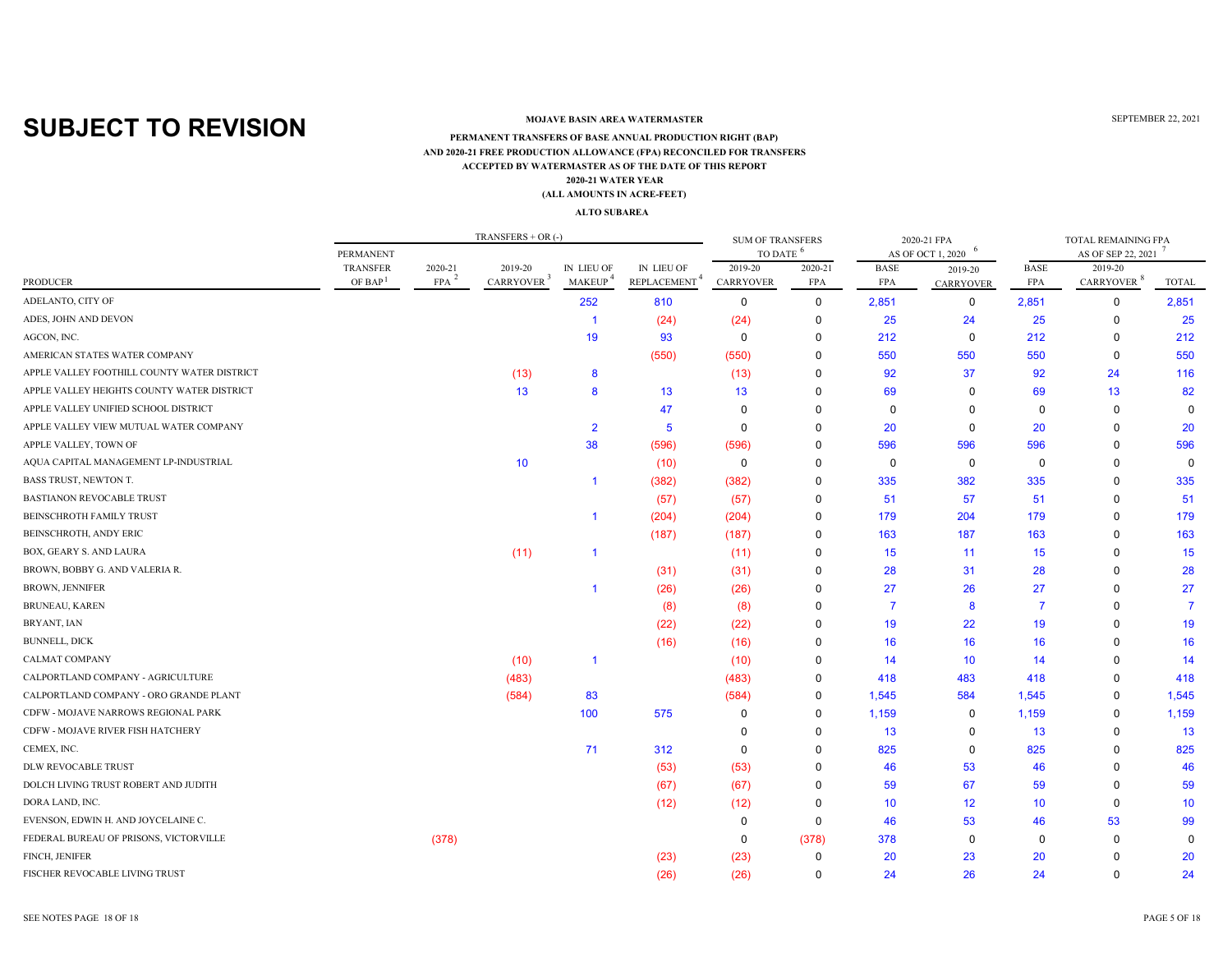### **MOJAVE BASIN AREA WATERMASTER**

### **ACCEPTED BY WATERMASTER AS OF THE DATE OF THIS REPORT(ALL AMOUNTS IN ACRE-FEET) PERMANENT TRANSFERS OF BASE ANNUAL PRODUCTION RIGHT (BAP) 2020-21 WATER YEAR AND 2020-21 FREE PRODUCTION ALLOWANCE (FPA) RECONCILED FOR TRANSFERS**

#### **ALTO SUBAREA**

|                                             |                        |                       | $TRANSFERS + OR$ (-)              |                             |                                        | <b>SUM OF TRANSFERS</b> |                       |                           | 2020-21 FPA                 |                           | TOTAL REMAINING FPA               |                |
|---------------------------------------------|------------------------|-----------------------|-----------------------------------|-----------------------------|----------------------------------------|-------------------------|-----------------------|---------------------------|-----------------------------|---------------------------|-----------------------------------|----------------|
|                                             | <b>PERMANENT</b>       |                       |                                   |                             |                                        | TO DATE <sup>6</sup>    |                       |                           | AS OF OCT 1, 2020           |                           | AS OF SEP 22, 2021                |                |
| PRODUCER                                    | TRANSFER<br>OF BAP $1$ | 2020-21<br><b>FPA</b> | 2019-20<br>CARRYOVER <sup>3</sup> | IN LIEU OF<br><b>MAKEUP</b> | IN LIEU OF<br>REPLACEMENT <sup>4</sup> | 2019-20<br>CARRYOVER    | 2020-21<br><b>FPA</b> | <b>BASE</b><br><b>FPA</b> | 2019-20<br><b>CARRYOVER</b> | <b>BASE</b><br><b>FPA</b> | 2019-20<br>CARRYOVER <sup>8</sup> | TOTAL          |
| ADELANTO, CITY OF                           |                        |                       |                                   | 252                         | 810                                    | $\Omega$                | $\mathbf 0$           | 2,851                     | 0                           | 2,851                     | 0                                 | 2,851          |
| ADES, JOHN AND DEVON                        |                        |                       |                                   | -1                          | (24)                                   | (24)                    | $\mathbf 0$           | 25                        | 24                          | 25                        | 0                                 | 25             |
| AGCON, INC.                                 |                        |                       |                                   | 19                          | 93                                     | $\Omega$                | $\Omega$              | 212                       | 0                           | 212                       | $\mathbf 0$                       | 212            |
| AMERICAN STATES WATER COMPANY               |                        |                       |                                   |                             | (550)                                  | (550)                   | $\Omega$              | 550                       | 550                         | 550                       | $\mathbf 0$                       | 550            |
| APPLE VALLEY FOOTHILL COUNTY WATER DISTRICT |                        |                       | (13)                              | 8                           |                                        | (13)                    | $\mathbf 0$           | 92                        | 37                          | 92                        | 24                                | 116            |
| APPLE VALLEY HEIGHTS COUNTY WATER DISTRICT  |                        |                       | 13                                | 8                           | 13                                     | 13                      | $\Omega$              | 69                        | $\Omega$                    | 69                        | 13                                | 82             |
| APPLE VALLEY UNIFIED SCHOOL DISTRICT        |                        |                       |                                   |                             | 47                                     | $\Omega$                | $\Omega$              | $\mathbf 0$               | $\Omega$                    | $\mathbf 0$               | 0                                 | $\Omega$       |
| APPLE VALLEY VIEW MUTUAL WATER COMPANY      |                        |                       |                                   | $\overline{2}$              | 5                                      | $\Omega$                | $\Omega$              | 20                        | $\Omega$                    | 20                        | 0                                 | 20             |
| APPLE VALLEY, TOWN OF                       |                        |                       |                                   | 38                          | (596)                                  | (596)                   | $\Omega$              | 596                       | 596                         | 596                       | $\Omega$                          | 596            |
| AQUA CAPITAL MANAGEMENT LP-INDUSTRIAL       |                        |                       | 10 <sup>°</sup>                   |                             | (10)                                   | $\mathbf 0$             | $\Omega$              | $\mathbf 0$               | $\mathbf 0$                 | $\mathbf 0$               | $\Omega$                          | $\Omega$       |
| BASS TRUST, NEWTON T.                       |                        |                       |                                   | $\overline{1}$              | (382)                                  | (382)                   | $\mathbf 0$           | 335                       | 382                         | 335                       | $\Omega$                          | 335            |
| <b>BASTIANON REVOCABLE TRUST</b>            |                        |                       |                                   |                             | (57)                                   | (57)                    | $\mathbf 0$           | 51                        | 57                          | 51                        | 0                                 | 51             |
| <b>BEINSCHROTH FAMILY TRUST</b>             |                        |                       |                                   | $\blacktriangleleft$        | (204)                                  | (204)                   | $\Omega$              | 179                       | 204                         | 179                       | $\mathbf 0$                       | 179            |
| BEINSCHROTH, ANDY ERIC                      |                        |                       |                                   |                             | (187)                                  | (187)                   | $\mathbf 0$           | 163                       | 187                         | 163                       | $\Omega$                          | 163            |
| BOX, GEARY S. AND LAURA                     |                        |                       | (11)                              | $\overline{1}$              |                                        | (11)                    | 0                     | 15                        | 11                          | 15                        | $\Omega$                          | 15             |
| BROWN, BOBBY G. AND VALERIA R.              |                        |                       |                                   |                             | (31)                                   | (31)                    | $\mathbf 0$           | 28                        | 31                          | 28                        | 0                                 | 28             |
| <b>BROWN, JENNIFER</b>                      |                        |                       |                                   | $\overline{1}$              | (26)                                   | (26)                    | $\Omega$              | 27                        | 26                          | 27                        | 0                                 | 27             |
| <b>BRUNEAU, KAREN</b>                       |                        |                       |                                   |                             | (8)                                    | (8)                     | $\Omega$              | $\overline{7}$            | 8                           | $\overline{7}$            | 0                                 | $\overline{7}$ |
| BRYANT, IAN                                 |                        |                       |                                   |                             | (22)                                   | (22)                    | $\mathbf 0$           | 19                        | 22                          | 19                        | $\Omega$                          | 19             |
| <b>BUNNELL, DICK</b>                        |                        |                       |                                   |                             | (16)                                   | (16)                    | $\Omega$              | 16                        | 16                          | 16                        | $\Omega$                          | 16             |
| CALMAT COMPANY                              |                        |                       | (10)                              | $\overline{1}$              |                                        | (10)                    | $\Omega$              | 14                        | 10                          | 14                        | $\Omega$                          | 14             |
| CALPORTLAND COMPANY - AGRICULTURE           |                        |                       | (483)                             |                             |                                        | (483)                   | 0                     | 418                       | 483                         | 418                       | 0                                 | 418            |
| CALPORTLAND COMPANY - ORO GRANDE PLANT      |                        |                       | (584)                             | 83                          |                                        | (584)                   | 0                     | 1,545                     | 584                         | 1,545                     | 0                                 | 1,545          |
| CDFW - MOJAVE NARROWS REGIONAL PARK         |                        |                       |                                   | 100                         | 575                                    | $\Omega$                | 0                     | 1,159                     | $\Omega$                    | 1,159                     | $\Omega$                          | 1,159          |
| CDFW - MOJAVE RIVER FISH HATCHERY           |                        |                       |                                   |                             |                                        | $\Omega$                | $\Omega$              | 13                        | $\Omega$                    | 13                        | 0                                 | 13             |
| CEMEX, INC.                                 |                        |                       |                                   | 71                          | 312                                    | $\Omega$                | $\mathbf 0$           | 825                       | 0                           | 825                       | 0                                 | 825            |
| DLW REVOCABLE TRUST                         |                        |                       |                                   |                             | (53)                                   | (53)                    | $\Omega$              | 46                        | 53                          | 46                        | $\Omega$                          | 46             |
| DOLCH LIVING TRUST ROBERT AND JUDITH        |                        |                       |                                   |                             | (67)                                   | (67)                    | $\Omega$              | 59                        | 67                          | 59                        | $\mathbf 0$                       | 59             |
| DORA LAND, INC.                             |                        |                       |                                   |                             | (12)                                   | (12)                    | $\mathbf 0$           | 10 <sup>°</sup>           | 12                          | 10                        | 0                                 | 10             |
| EVENSON, EDWIN H. AND JOYCELAINE C.         |                        |                       |                                   |                             |                                        | $\Omega$                | $\mathbf 0$           | 46                        | 53                          | 46                        | 53                                | 99             |
| FEDERAL BUREAU OF PRISONS, VICTORVILLE      |                        | (378)                 |                                   |                             |                                        | $\Omega$                | (378)                 | 378                       | $\Omega$                    | $\mathbf 0$               | $\Omega$                          | <sup>0</sup>   |
| FINCH, JENIFER                              |                        |                       |                                   |                             | (23)                                   | (23)                    | $\mathbf 0$           | 20                        | 23                          | 20                        | 0                                 | 20             |
| FISCHER REVOCABLE LIVING TRUST              |                        |                       |                                   |                             | (26)                                   | (26)                    | $\Omega$              | 24                        | 26                          | 24                        | $\Omega$                          | 24             |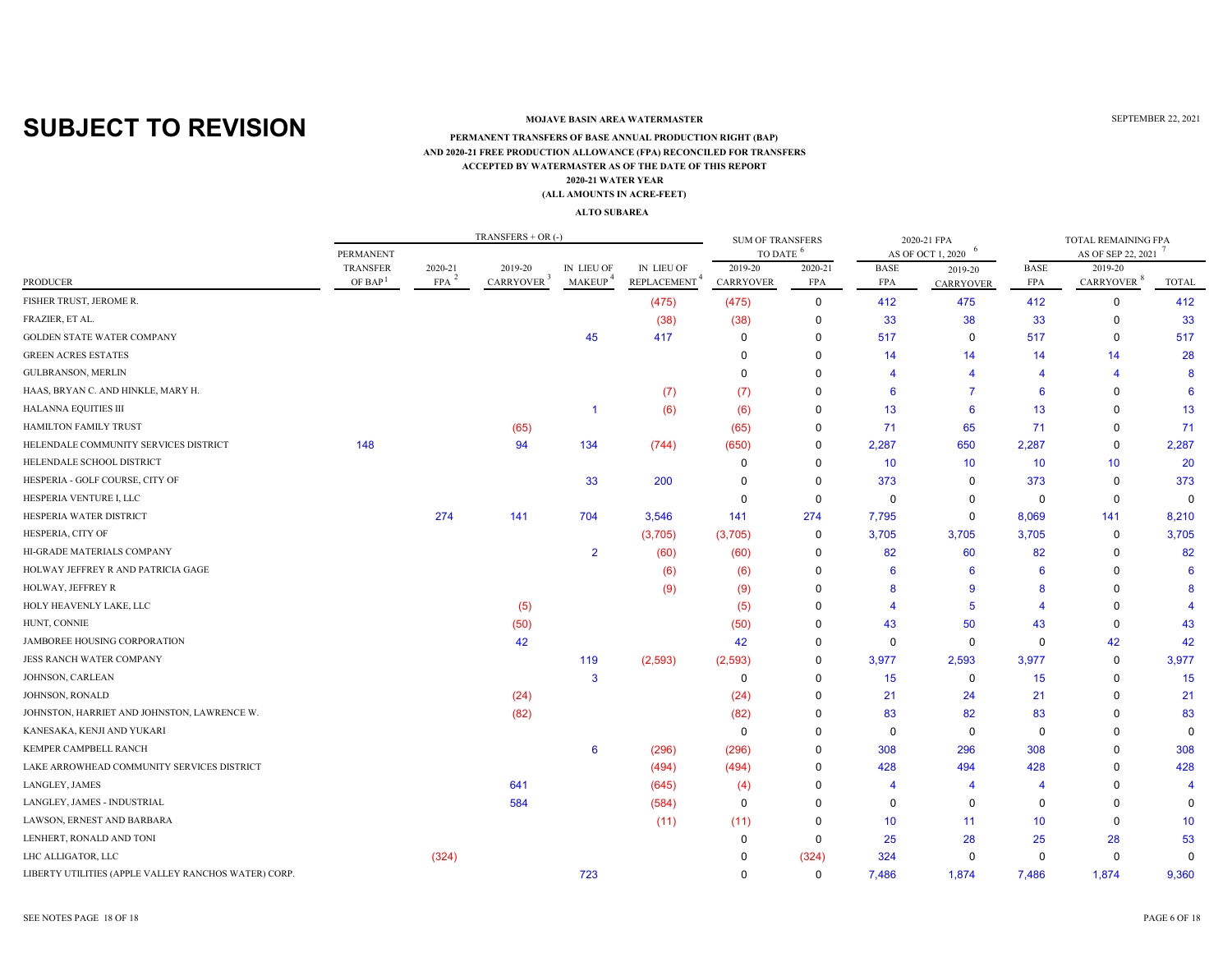### **MOJAVE BASIN AREA WATERMASTER**

#### **ACCEPTED BY WATERMASTER AS OF THE DATE OF THIS REPORT (ALL AMOUNTS IN ACRE-FEET) PERMANENT TRANSFERS OF BASE ANNUAL PRODUCTION RIGHT (BAP) 2020-21 WATER YEAR AND 2020-21 FREE PRODUCTION ALLOWANCE (FPA) RECONCILED FOR TRANSFERS**

#### **ALTO SUBAREA**

|                                                      |                                        |                       | TRANSFERS $+$ OR $(-)$            |                             |                                        | <b>SUM OF TRANSFERS</b> |             |             | 2020-21 FPA       |                | TOTAL REMAINING FPA    |              |
|------------------------------------------------------|----------------------------------------|-----------------------|-----------------------------------|-----------------------------|----------------------------------------|-------------------------|-------------|-------------|-------------------|----------------|------------------------|--------------|
|                                                      | PERMANENT                              |                       |                                   |                             |                                        | TO DATE                 | -6          |             | AS OF OCT 1, 2020 |                | AS OF SEP 22, 2021     |              |
|                                                      | <b>TRANSFER</b><br>OF BAP <sup>1</sup> | 2020-21<br><b>FPA</b> | 2019-20<br>CARRYOVER <sup>3</sup> | IN LIEU OF<br><b>MAKEUP</b> | IN LIEU OF<br>REPLACEMENT <sup>4</sup> | 2019-20                 | 2020-21     | <b>BASE</b> | 2019-20           | <b>BASE</b>    | 2019-20                |              |
| <b>PRODUCER</b>                                      |                                        |                       |                                   |                             |                                        | CARRYOVER               | <b>FPA</b>  | <b>FPA</b>  | <b>CARRYOVER</b>  | <b>FPA</b>     | CARRYOVER <sup>8</sup> | <b>TOTAL</b> |
| FISHER TRUST, JEROME R.                              |                                        |                       |                                   |                             | (475)                                  | (475)                   | 0           | 412         | 475               | 412            | 0                      | 412          |
| FRAZIER, ET AL.                                      |                                        |                       |                                   |                             | (38)                                   | (38)                    | 0           | 33          | 38                | 33             | $\mathbf 0$            | 33           |
| GOLDEN STATE WATER COMPANY                           |                                        |                       |                                   | 45                          | 417                                    | 0                       | 0           | 517         | 0                 | 517            | $\mathbf 0$            | 517          |
| <b>GREEN ACRES ESTATES</b>                           |                                        |                       |                                   |                             |                                        | 0                       | $\mathbf 0$ | 14          | 14                | 14             | 14                     | 28           |
| <b>GULBRANSON, MERLIN</b>                            |                                        |                       |                                   |                             |                                        | $\Omega$                | $\Omega$    |             |                   | $\overline{A}$ | Δ                      |              |
| HAAS, BRYAN C. AND HINKLE, MARY H.                   |                                        |                       |                                   |                             | (7)                                    | (7)                     | $\Omega$    | 6           |                   | 6              | $\Omega$               |              |
| <b>HALANNA EQUITIES III</b>                          |                                        |                       |                                   |                             | (6)                                    | (6)                     | $\mathbf 0$ | 13          | 6                 | 13             | 0                      | 13           |
| <b>HAMILTON FAMILY TRUST</b>                         |                                        |                       | (65)                              |                             |                                        | (65)                    | $\mathbf 0$ | 71          | 65                | 71             | $\Omega$               | 71           |
| HELENDALE COMMUNITY SERVICES DISTRICT                | 148                                    |                       | 94                                | 134                         | (744)                                  | (650)                   | $\mathbf 0$ | 2,287       | 650               | 2,287          | $\mathbf 0$            | 2,287        |
| HELENDALE SCHOOL DISTRICT                            |                                        |                       |                                   |                             |                                        | 0                       | 0           | 10          | 10 <sup>°</sup>   | 10             | 10                     | 20           |
| HESPERIA - GOLF COURSE, CITY OF                      |                                        |                       |                                   | 33                          | 200                                    | $\Omega$                | $\Omega$    | 373         | $\Omega$          | 373            | $\mathbf 0$            | 373          |
| HESPERIA VENTURE I, LLC                              |                                        |                       |                                   |                             |                                        | $\Omega$                | $\mathbf 0$ | 0           | 0                 | 0              | $\mathbf 0$            | $\mathbf 0$  |
| HESPERIA WATER DISTRICT                              |                                        | 274                   | 141                               | 704                         | 3,546                                  | 141                     | 274         | 7,795       | 0                 | 8,069          | 141                    | 8,210        |
| HESPERIA, CITY OF                                    |                                        |                       |                                   |                             | (3,705)                                | (3,705)                 | 0           | 3,705       | 3,705             | 3,705          | $\mathbf 0$            | 3,705        |
| HI-GRADE MATERIALS COMPANY                           |                                        |                       |                                   | $\overline{2}$              | (60)                                   | (60)                    | 0           | 82          | 60                | 82             | $\mathbf 0$            | 82           |
| HOLWAY JEFFREY R AND PATRICIA GAGE                   |                                        |                       |                                   |                             | (6)                                    | (6)                     | $\Omega$    | 6           | 6                 | -6             | $\Omega$               |              |
| HOLWAY, JEFFREY R                                    |                                        |                       |                                   |                             | (9)                                    | (9)                     | $\Omega$    | 8           | -9                | 8              | O                      |              |
| HOLY HEAVENLY LAKE, LLC                              |                                        |                       | (5)                               |                             |                                        | (5)                     | $\Omega$    |             | -5                | Δ              | 0                      |              |
| HUNT, CONNIE                                         |                                        |                       | (50)                              |                             |                                        | (50)                    | $\Omega$    | 43          | 50                | 43             | $\Omega$               | 43           |
| JAMBOREE HOUSING CORPORATION                         |                                        |                       | 42                                |                             |                                        | 42                      | $\Omega$    | $\mathbf 0$ | $\mathbf 0$       | $\mathbf 0$    | 42                     | 42           |
| JESS RANCH WATER COMPANY                             |                                        |                       |                                   | 119                         | (2, 593)                               | (2, 593)                | 0           | 3,977       | 2,593             | 3,977          | $\mathbf 0$            | 3,977        |
| JOHNSON, CARLEAN                                     |                                        |                       |                                   | 3                           |                                        | $\mathbf 0$             | $\mathbf 0$ | 15          | $\mathbf 0$       | 15             | $\Omega$               | 15           |
| JOHNSON, RONALD                                      |                                        |                       | (24)                              |                             |                                        | (24)                    | $\mathbf 0$ | 21          | 24                | 21             | $\Omega$               | 21           |
| JOHNSTON, HARRIET AND JOHNSTON, LAWRENCE W.          |                                        |                       | (82)                              |                             |                                        | (82)                    | $\mathbf 0$ | 83          | 82                | 83             | $\Omega$               | 83           |
| KANESAKA, KENJI AND YUKARI                           |                                        |                       |                                   |                             |                                        | $\mathbf 0$             | $\Omega$    | $\mathbf 0$ | $\mathbf 0$       | $\mathbf 0$    | $\Omega$               | $\Omega$     |
| KEMPER CAMPBELL RANCH                                |                                        |                       |                                   | $6\phantom{1}6$             | (296)                                  | (296)                   | $\mathbf 0$ | 308         | 296               | 308            | $\Omega$               | 308          |
| LAKE ARROWHEAD COMMUNITY SERVICES DISTRICT           |                                        |                       |                                   |                             | (494)                                  | (494)                   | $\mathbf 0$ | 428         | 494               | 428            | $\Omega$               | 428          |
| LANGLEY, JAMES                                       |                                        |                       | 641                               |                             | (645)                                  | (4)                     | $\Omega$    |             | 4                 | $\overline{4}$ | $\Omega$               |              |
| LANGLEY, JAMES - INDUSTRIAL                          |                                        |                       | 584                               |                             | (584)                                  | 0                       | $\Omega$    | $\Omega$    | $\Omega$          | $\mathbf 0$    | O                      |              |
| LAWSON, ERNEST AND BARBARA                           |                                        |                       |                                   |                             | (11)                                   | (11)                    | $\mathbf 0$ | 10          | 11                | 10             | $\Omega$               | 10           |
| LENHERT, RONALD AND TONI                             |                                        |                       |                                   |                             |                                        | $\Omega$                | $\Omega$    | 25          | 28                | 25             | 28                     | 53           |
| LHC ALLIGATOR, LLC                                   |                                        | (324)                 |                                   |                             |                                        | <sup>0</sup>            | (324)       | 324         | $\Omega$          | $\Omega$       | $\Omega$               | $\Omega$     |
| LIBERTY UTILITIES (APPLE VALLEY RANCHOS WATER) CORP. |                                        |                       |                                   | 723                         |                                        | $\Omega$                | $\mathbf 0$ | 7,486       | 1,874             | 7,486          | 1,874                  | 9,360        |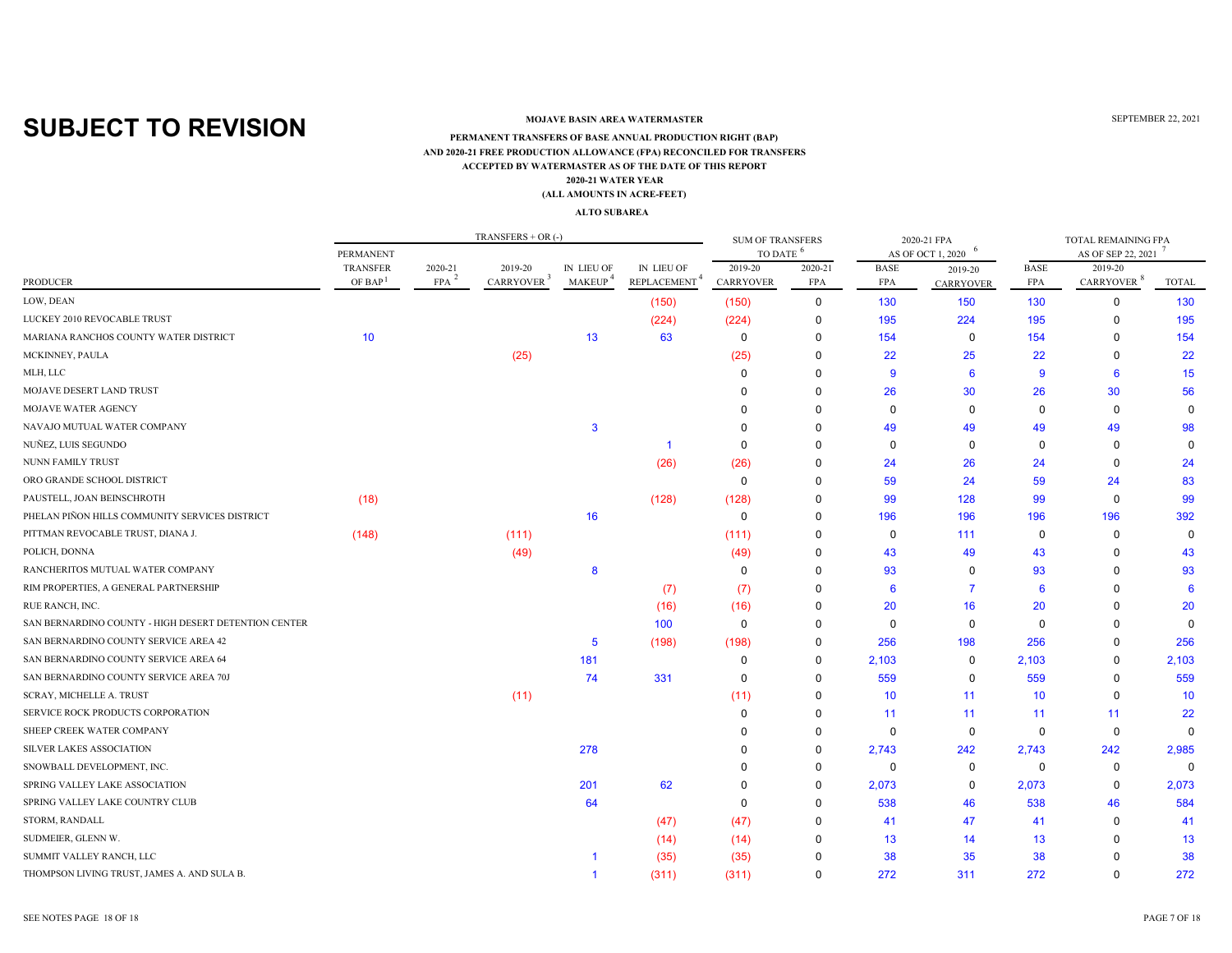### **MOJAVE BASIN AREA WATERMASTER**

#### **ACCEPTED BY WATERMASTER AS OF THE DATE OF THIS REPORT (ALL AMOUNTS IN ACRE-FEET) PERMANENT TRANSFERS OF BASE ANNUAL PRODUCTION RIGHT (BAP) 2020-21 WATER YEAR AND 2020-21 FREE PRODUCTION ALLOWANCE (FPA) RECONCILED FOR TRANSFERS**

#### **ALTO SUBAREA**

|                                                      |                                        |                       | TRANSFERS + OR $(-)$              |                                   |                                        | <b>SUM OF TRANSFERS</b>     |                       |                           | 2020-21 FPA                 |                           | TOTAL REMAINING FPA               |              |
|------------------------------------------------------|----------------------------------------|-----------------------|-----------------------------------|-----------------------------------|----------------------------------------|-----------------------------|-----------------------|---------------------------|-----------------------------|---------------------------|-----------------------------------|--------------|
|                                                      | PERMANENT                              |                       |                                   |                                   |                                        | TO DATE <sup>6</sup>        |                       |                           | AS OF OCT 1, 2020           |                           | AS OF SEP 22, 2021                |              |
| <b>PRODUCER</b>                                      | <b>TRANSFER</b><br>OF BAP <sup>1</sup> | 2020-21<br><b>FPA</b> | 2019-20<br>CARRYOVER <sup>3</sup> | IN LIEU OF<br>MAKEUP <sup>4</sup> | IN LIEU OF<br>REPLACEMENT <sup>4</sup> | 2019-20<br><b>CARRYOVER</b> | 2020-21<br><b>FPA</b> | <b>BASE</b><br><b>FPA</b> | 2019-20<br><b>CARRYOVER</b> | <b>BASE</b><br><b>FPA</b> | 2019-20<br>CARRYOVER <sup>8</sup> | <b>TOTAL</b> |
| LOW, DEAN                                            |                                        |                       |                                   |                                   | (150)                                  | (150)                       | $\mathbf 0$           | 130                       | 150                         | 130                       | $\mathbf 0$                       | 130          |
| LUCKEY 2010 REVOCABLE TRUST                          |                                        |                       |                                   |                                   | (224)                                  | (224)                       | 0                     | 195                       | 224                         | 195                       | 0                                 | 195          |
| MARIANA RANCHOS COUNTY WATER DISTRICT                | 10                                     |                       |                                   | 13                                | 63                                     | $\mathbf 0$                 | $\mathbf 0$           | 154                       | $\mathbf 0$                 | 154                       | $\Omega$                          | 154          |
| MCKINNEY, PAULA                                      |                                        |                       | (25)                              |                                   |                                        | (25)                        | $\Omega$              | 22                        | 25                          | 22                        | $\Omega$                          | 22           |
| MLH, LLC                                             |                                        |                       |                                   |                                   |                                        | $\Omega$                    | $\Omega$              | 9                         | 6                           | 9                         | 6                                 | 15           |
| MOJAVE DESERT LAND TRUST                             |                                        |                       |                                   |                                   |                                        | $\Omega$                    | $\Omega$              | 26                        | 30                          | 26                        | 30                                | 56           |
| MOJAVE WATER AGENCY                                  |                                        |                       |                                   |                                   |                                        |                             | $\Omega$              | $\Omega$                  | 0                           | $\Omega$                  | $\mathbf 0$                       | $\Omega$     |
| NAVAJO MUTUAL WATER COMPANY                          |                                        |                       |                                   | 3                                 |                                        |                             | $\Omega$              | 49                        | 49                          | 49                        | 49                                | 98           |
| NUÑEZ, LUIS SEGUNDO                                  |                                        |                       |                                   |                                   |                                        | 0                           | $\Omega$              | $\mathbf 0$               | 0                           | $\mathbf 0$               | $\mathbf 0$                       | $\mathbf 0$  |
| <b>NUNN FAMILY TRUST</b>                             |                                        |                       |                                   |                                   | (26)                                   | (26)                        | $\Omega$              | 24                        | 26                          | 24                        | $\Omega$                          | 24           |
| ORO GRANDE SCHOOL DISTRICT                           |                                        |                       |                                   |                                   |                                        | 0                           | $\Omega$              | 59                        | 24                          | 59                        | 24                                | 83           |
| PAUSTELL, JOAN BEINSCHROTH                           | (18)                                   |                       |                                   |                                   | (128)                                  | (128)                       | $\Omega$              | 99                        | 128                         | 99                        | $\mathbf 0$                       | 99           |
| PHELAN PIÑON HILLS COMMUNITY SERVICES DISTRICT       |                                        |                       |                                   | 16                                |                                        | $\mathbf 0$                 | $\mathbf 0$           | 196                       | 196                         | 196                       | 196                               | 392          |
| PITTMAN REVOCABLE TRUST, DIANA J.                    | (148)                                  |                       | (111)                             |                                   |                                        | (111)                       | $\Omega$              | $\mathbf 0$               | 111                         | $\mathbf 0$               | $\Omega$                          | $\Omega$     |
| POLICH, DONNA                                        |                                        |                       | (49)                              |                                   |                                        | (49)                        | 0                     | 43                        | 49                          | 43                        | $\Omega$                          | 43           |
| RANCHERITOS MUTUAL WATER COMPANY                     |                                        |                       |                                   | 8                                 |                                        | 0                           | 0                     | 93                        | $\Omega$                    | 93                        | 0                                 | 93           |
| RIM PROPERTIES, A GENERAL PARTNERSHIP                |                                        |                       |                                   |                                   | (7)                                    | (7)                         | $\Omega$              | 6                         | $\overline{7}$              | 6                         | $\Omega$                          | -6           |
| RUE RANCH, INC.                                      |                                        |                       |                                   |                                   | (16)                                   | (16)                        | 0                     | 20                        | 16                          | 20                        | $\Omega$                          | 20           |
| SAN BERNARDINO COUNTY - HIGH DESERT DETENTION CENTER |                                        |                       |                                   |                                   | 100                                    | 0                           | $\Omega$              | 0                         | 0                           | $\Omega$                  | 0                                 | $\Omega$     |
| SAN BERNARDINO COUNTY SERVICE AREA 42                |                                        |                       |                                   | 5                                 | (198)                                  | (198)                       | 0                     | 256                       | 198                         | 256                       | 0                                 | 256          |
| SAN BERNARDINO COUNTY SERVICE AREA 64                |                                        |                       |                                   | 181                               |                                        | 0                           | $\mathbf 0$           | 2,103                     | $\mathbf 0$                 | 2,103                     | $\Omega$                          | 2,103        |
| SAN BERNARDINO COUNTY SERVICE AREA 70J               |                                        |                       |                                   | 74                                | 331                                    | 0                           | $\Omega$              | 559                       | 0                           | 559                       | $\Omega$                          | 559          |
| SCRAY, MICHELLE A. TRUST                             |                                        |                       | (11)                              |                                   |                                        | (11)                        | $\Omega$              | 10 <sup>°</sup>           | 11                          | 10                        | $\mathbf 0$                       | 10           |
| SERVICE ROCK PRODUCTS CORPORATION                    |                                        |                       |                                   |                                   |                                        | $\Omega$                    | $\Omega$              | 11                        | 11                          | 11                        | 11                                | 22           |
| SHEEP CREEK WATER COMPANY                            |                                        |                       |                                   |                                   |                                        | $\Omega$                    | 0                     | $\mathbf 0$               | $\mathbf 0$                 | $\mathbf 0$               | $\mathbf 0$                       | $\Omega$     |
| <b>SILVER LAKES ASSOCIATION</b>                      |                                        |                       |                                   | 278                               |                                        | $\Omega$                    | 0                     | 2,743                     | 242                         | 2,743                     | 242                               | 2,985        |
| SNOWBALL DEVELOPMENT, INC.                           |                                        |                       |                                   |                                   |                                        | 0                           | 0                     | 0                         | 0                           | 0                         | 0                                 | $\Omega$     |
| SPRING VALLEY LAKE ASSOCIATION                       |                                        |                       |                                   | 201                               | 62                                     | $\Omega$                    | $\mathbf 0$           | 2,073                     | 0                           | 2,073                     | $\mathbf 0$                       | 2,073        |
| SPRING VALLEY LAKE COUNTRY CLUB                      |                                        |                       |                                   | 64                                |                                        | $\Omega$                    | $\mathbf 0$           | 538                       | 46                          | 538                       | 46                                | 584          |
| STORM, RANDALL                                       |                                        |                       |                                   |                                   | (47)                                   | (47)                        | $\mathbf 0$           | 41                        | 47                          | 41                        | $\mathbf 0$                       | 41           |
| SUDMEIER, GLENN W.                                   |                                        |                       |                                   |                                   | (14)                                   | (14)                        | $\Omega$              | 13                        | 14                          | 13                        | $\Omega$                          | 13           |
| SUMMIT VALLEY RANCH, LLC                             |                                        |                       |                                   |                                   | (35)                                   | (35)                        |                       | 38                        | 35                          | 38                        |                                   | 38           |
| THOMPSON LIVING TRUST, JAMES A. AND SULA B.          |                                        |                       |                                   |                                   | (311)                                  | (311)                       | 0                     | 272                       | 311                         | 272                       | $\Omega$                          | 272          |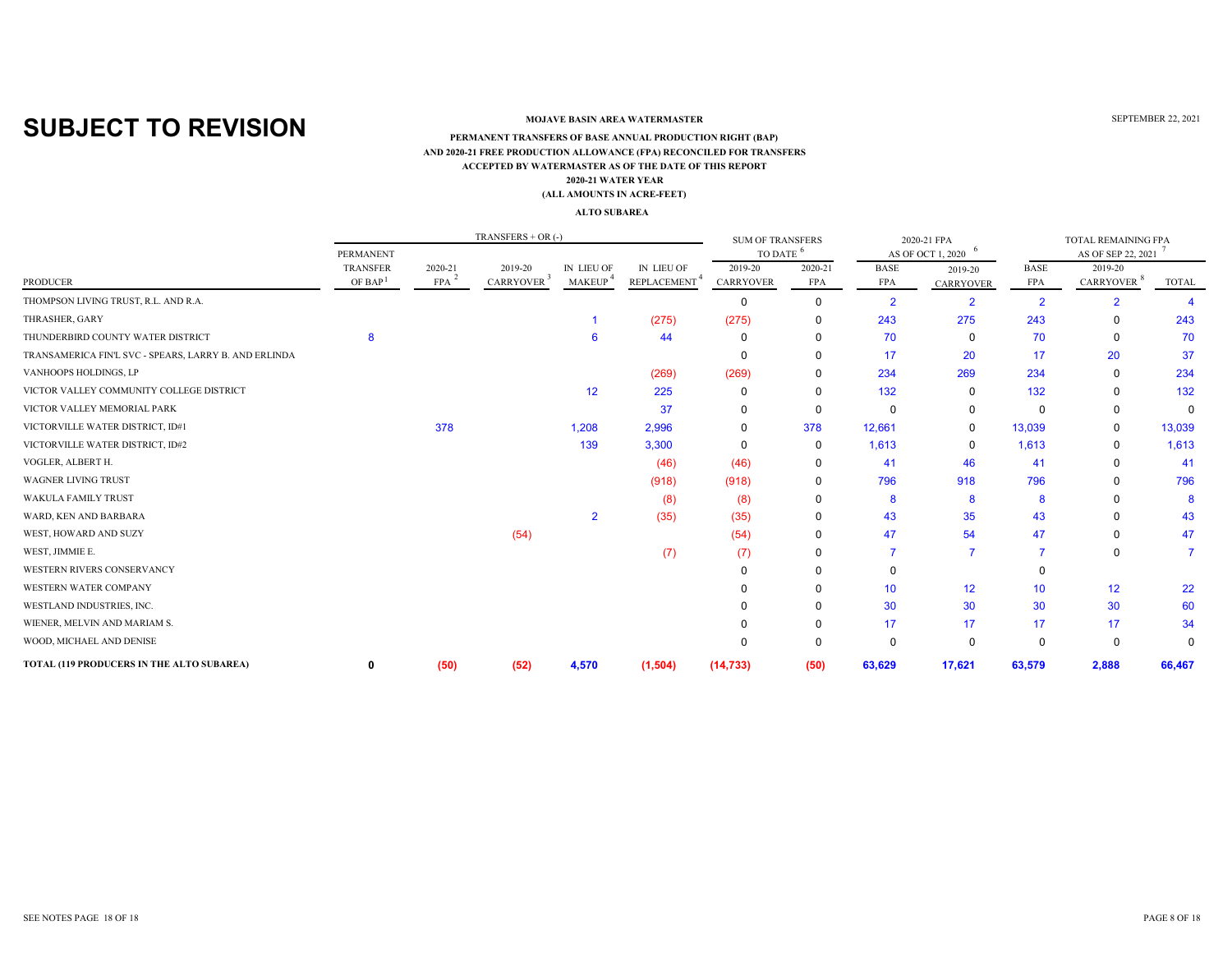### **MOJAVE BASIN AREA WATERMASTER**

#### **ACCEPTED BY WATERMASTER AS OF THE DATE OF THIS REPORT(ALL AMOUNTS IN ACRE-FEET) PERMANENT TRANSFERS OF BASE ANNUAL PRODUCTION RIGHT (BAP) 2020-21 WATER YEAR AND 2020-21 FREE PRODUCTION ALLOWANCE (FPA) RECONCILED FOR TRANSFERS**

#### **ALTO SUBAREA**

|                                                       |                                        |                       | $TRANSFERS + OR$ (-)              |                             |                                               | <b>SUM OF TRANSFERS</b>     |                       |                    | 2020-21 FPA                 |                           | TOTAL REMAINING FPA               |             |
|-------------------------------------------------------|----------------------------------------|-----------------------|-----------------------------------|-----------------------------|-----------------------------------------------|-----------------------------|-----------------------|--------------------|-----------------------------|---------------------------|-----------------------------------|-------------|
|                                                       | <b>PERMANENT</b>                       |                       |                                   |                             |                                               | TO DATE <sup>6</sup>        |                       |                    | AS OF OCT 1, 2020           |                           | AS OF SEP 22, 2021                |             |
| <b>PRODUCER</b>                                       | <b>TRANSFER</b><br>OF BAP <sup>1</sup> | 2020-21<br><b>FPA</b> | 2019-20<br>CARRYOVER <sup>3</sup> | IN LIEU OF<br><b>MAKEUP</b> | <b>IN LIEU OF</b><br>REPLACEMENT <sup>4</sup> | 2019-20<br><b>CARRYOVER</b> | 2020-21<br><b>FPA</b> | <b>BASE</b><br>FPA | 2019-20<br><b>CARRYOVER</b> | <b>BASE</b><br><b>FPA</b> | 2019-20<br>CARRYOVER <sup>8</sup> | TOTAL       |
| THOMPSON LIVING TRUST, R.L. AND R.A.                  |                                        |                       |                                   |                             |                                               | 0                           | $\Omega$              | $\overline{2}$     | 2                           | $\overline{2}$            |                                   |             |
| THRASHER, GARY                                        |                                        |                       |                                   |                             | (275)                                         | (275)                       | 0                     | 243                | 275                         | 243                       | <sup>0</sup>                      | 243         |
| THUNDERBIRD COUNTY WATER DISTRICT                     |                                        |                       |                                   |                             | 44                                            | 0                           | $\Omega$              | 70                 | 0                           | 70                        | $\Omega$                          | 70          |
| TRANSAMERICA FIN'L SVC - SPEARS, LARRY B. AND ERLINDA |                                        |                       |                                   |                             |                                               | 0                           | 0                     | 17                 | 20                          | 17                        | 20                                | 37          |
| VANHOOPS HOLDINGS, LP                                 |                                        |                       |                                   |                             | (269)                                         | (269)                       | 0                     | 234                | 269                         | 234                       | 0                                 | 234         |
| VICTOR VALLEY COMMUNITY COLLEGE DISTRICT              |                                        |                       |                                   | 12                          | 225                                           | 0                           | 0                     | 132                | 0                           | 132                       | $\Omega$                          | 132         |
| VICTOR VALLEY MEMORIAL PARK                           |                                        |                       |                                   |                             | 37                                            | <sup>0</sup>                | 0                     |                    | 0                           | 0                         | $\Omega$                          | $\mathbf 0$ |
| VICTORVILLE WATER DISTRICT, ID#1                      |                                        | 378                   |                                   | 1,208                       | 2,996                                         | 0                           | 378                   | 12,661             | 0                           | 13,039                    | $\Omega$                          | 13,039      |
| VICTORVILLE WATER DISTRICT, ID#2                      |                                        |                       |                                   | 139                         | 3,300                                         | 0                           | 0                     | 1,613              | 0                           | 1,613                     | $\Omega$                          | 1,613       |
| VOGLER, ALBERT H.                                     |                                        |                       |                                   |                             | (46)                                          | (46)                        | 0                     | 41                 | 46                          | 41                        | <sup>0</sup>                      | -41         |
| <b>WAGNER LIVING TRUST</b>                            |                                        |                       |                                   |                             | (918)                                         | (918)                       | 0                     | 796                | 918                         | 796                       | $\Omega$                          | 796         |
| <b>WAKULA FAMILY TRUST</b>                            |                                        |                       |                                   |                             | (8)                                           | (8)                         | 0                     | 8                  | 8                           | 8                         |                                   | 8           |
| WARD, KEN AND BARBARA                                 |                                        |                       |                                   | $\overline{2}$              | (35)                                          | (35)                        | 0                     | 43                 | 35                          | 43                        |                                   | 43          |
| WEST, HOWARD AND SUZY                                 |                                        |                       | (54)                              |                             |                                               | (54)                        | $\Omega$              | 47                 | 54                          | 47                        | $\Omega$                          | 47          |
| WEST, JIMMIE E.                                       |                                        |                       |                                   |                             | (7)                                           | (7)                         | $\Omega$              |                    |                             |                           | $\Omega$                          |             |
| WESTERN RIVERS CONSERVANCY                            |                                        |                       |                                   |                             |                                               |                             | $\Omega$              |                    |                             |                           |                                   |             |
| WESTERN WATER COMPANY                                 |                                        |                       |                                   |                             |                                               |                             | $\Omega$              | 10 <sup>°</sup>    | 12 <sup>2</sup>             | 10                        | 12                                | 22          |
| WESTLAND INDUSTRIES, INC.                             |                                        |                       |                                   |                             |                                               |                             | $\Omega$              | 30                 | 30                          | 30                        | 30                                | 60          |
| WIENER, MELVIN AND MARIAM S.                          |                                        |                       |                                   |                             |                                               |                             | 0                     | 17                 | 17                          | 17                        | 17                                | 34          |
| WOOD, MICHAEL AND DENISE                              |                                        |                       |                                   |                             |                                               | 0                           | $\Omega$              | 0                  | 0                           | $\Omega$                  | $\Omega$                          | $\Omega$    |
| TOTAL (119 PRODUCERS IN THE ALTO SUBAREA)             | 0                                      | (50)                  | (52)                              | 4,570                       | (1,504)                                       | (14, 733)                   | (50)                  | 63,629             | 17,621                      | 63,579                    | 2,888                             | 66,467      |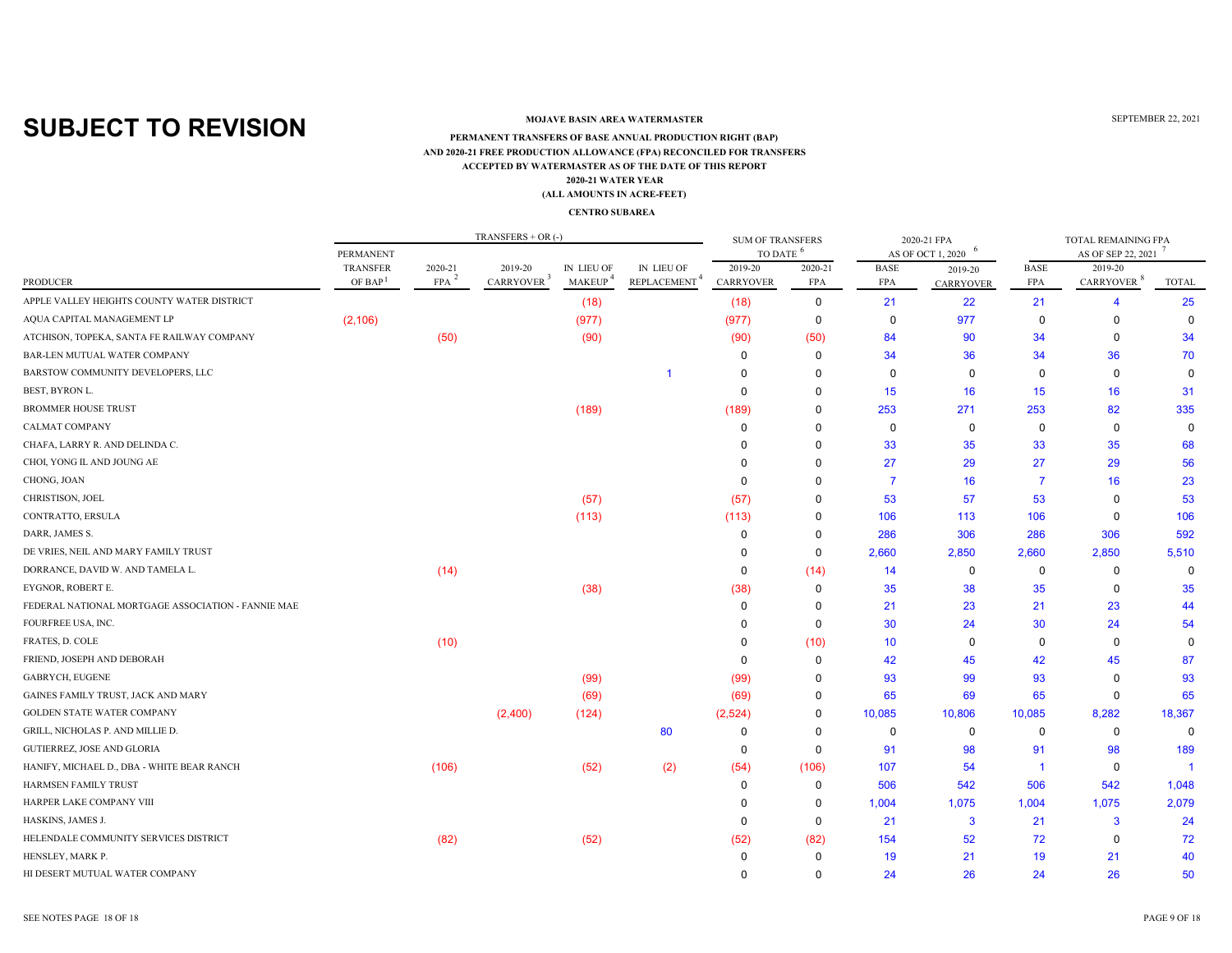### **MOJAVE BASIN AREA WATERMASTER**

### **ACCEPTED BY WATERMASTER AS OF THE DATE OF THIS REPORT(ALL AMOUNTS IN ACRE-FEET) PERMANENT TRANSFERS OF BASE ANNUAL PRODUCTION RIGHT (BAP) 2020-21 WATER YEAR AND 2020-21 FREE PRODUCTION ALLOWANCE (FPA) RECONCILED FOR TRANSFERS**

#### **CENTRO SUBAREA**

|                                                    |                                        |                       | TRANSFERS $+$ OR $(-)$            |                             |                                                                   | <b>SUM OF TRANSFERS</b>     |                       |                           | 2020-21 FPA                 |                           | TOTAL REMAINING FPA               |              |
|----------------------------------------------------|----------------------------------------|-----------------------|-----------------------------------|-----------------------------|-------------------------------------------------------------------|-----------------------------|-----------------------|---------------------------|-----------------------------|---------------------------|-----------------------------------|--------------|
|                                                    | PERMANENT                              |                       |                                   |                             |                                                                   | TO DATE                     |                       |                           | AS OF OCT 1, 2020           |                           | AS OF SEP 22, 2021                |              |
| <b>PRODUCER</b>                                    | <b>TRANSFER</b><br>OF BAP <sup>1</sup> | 2020-21<br><b>FPA</b> | 2019-20<br>CARRYOVER <sup>3</sup> | IN LIEU OF<br><b>MAKEUP</b> | <b>IN LIEU OF</b><br>$\ensuremath{\mathsf{REPLACEMENT}}\xspace^4$ | 2019-20<br><b>CARRYOVER</b> | 2020-21<br><b>FPA</b> | <b>BASE</b><br><b>FPA</b> | 2019-20<br><b>CARRYOVER</b> | <b>BASE</b><br><b>FPA</b> | 2019-20<br>CARRYOVER <sup>8</sup> | <b>TOTAL</b> |
| APPLE VALLEY HEIGHTS COUNTY WATER DISTRICT         |                                        |                       |                                   | (18)                        |                                                                   | (18)                        | 0                     | 21                        | 22                          | 21                        | $\overline{4}$                    | 25           |
| AQUA CAPITAL MANAGEMENT LP                         | (2, 106)                               |                       |                                   | (977)                       |                                                                   | (977)                       | $\mathbf 0$           | 0                         | 977                         | $\mathbf 0$               | $\Omega$                          | $\mathbf{0}$ |
| ATCHISON, TOPEKA, SANTA FE RAILWAY COMPANY         |                                        | (50)                  |                                   | (90)                        |                                                                   | (90)                        | (50)                  | 84                        | 90                          | 34                        | $\Omega$                          | 34           |
| BAR-LEN MUTUAL WATER COMPANY                       |                                        |                       |                                   |                             |                                                                   | 0                           | $\mathbf 0$           | 34                        | 36                          | 34                        | 36                                | 70           |
| BARSTOW COMMUNITY DEVELOPERS, LLC                  |                                        |                       |                                   |                             |                                                                   | 0                           | $\Omega$              | $\mathbf 0$               | $\mathbf 0$                 | $\Omega$                  | $\mathbf 0$                       | $\mathbf{0}$ |
| BEST, BYRON L.                                     |                                        |                       |                                   |                             |                                                                   | $\Omega$                    | $\Omega$              | 15                        | 16                          | 15                        | 16                                | 31           |
| <b>BROMMER HOUSE TRUST</b>                         |                                        |                       |                                   | (189)                       |                                                                   | (189)                       | $\Omega$              | 253                       | 271                         | 253                       | 82                                | 335          |
| <b>CALMAT COMPANY</b>                              |                                        |                       |                                   |                             |                                                                   | 0                           | $\mathbf 0$           | $\mathbf 0$               | $\Omega$                    | 0                         | $\Omega$                          | $\mathbf{0}$ |
| CHAFA, LARRY R. AND DELINDA C.                     |                                        |                       |                                   |                             |                                                                   | 0                           | $\Omega$              | 33                        | 35                          | 33                        | 35                                | 68           |
| CHOI, YONG IL AND JOUNG AE                         |                                        |                       |                                   |                             |                                                                   | $\Omega$                    | $\Omega$              | 27                        | 29                          | 27                        | 29                                | 56           |
| CHONG, JOAN                                        |                                        |                       |                                   |                             |                                                                   | $\Omega$                    | $\Omega$              | -7                        | 16                          | $\overline{7}$            | 16                                | 23           |
| CHRISTISON, JOEL                                   |                                        |                       |                                   | (57)                        |                                                                   | (57)                        | ŋ                     | 53                        | 57                          | 53                        | $\Omega$                          | 53           |
| CONTRATTO, ERSULA                                  |                                        |                       |                                   | (113)                       |                                                                   | (113)                       | $\Omega$              | 106                       | 113                         | 106                       | $\Omega$                          | 106          |
| DARR, JAMES S.                                     |                                        |                       |                                   |                             |                                                                   | 0                           | 0                     | 286                       | 306                         | 286                       | 306                               | 592          |
| DE VRIES, NEIL AND MARY FAMILY TRUST               |                                        |                       |                                   |                             |                                                                   | $\Omega$                    | $\mathbf 0$           | 2,660                     | 2,850                       | 2,660                     | 2,850                             | 5,510        |
| DORRANCE, DAVID W. AND TAMELA L.                   |                                        | (14)                  |                                   |                             |                                                                   | $\mathbf 0$                 | (14)                  | 14                        | 0                           | $\mathbf 0$               | $\Omega$                          | $\Omega$     |
| EYGNOR, ROBERT E.                                  |                                        |                       |                                   | (38)                        |                                                                   | (38)                        | 0                     | 35                        | 38                          | 35                        | 0                                 | 35           |
| FEDERAL NATIONAL MORTGAGE ASSOCIATION - FANNIE MAE |                                        |                       |                                   |                             |                                                                   | $\Omega$                    | $\Omega$              | 21                        | 23                          | 21                        | 23                                | 44           |
| FOURFREE USA, INC.                                 |                                        |                       |                                   |                             |                                                                   | $\Omega$                    | 0                     | 30                        | 24                          | 30                        | 24                                | 54           |
| FRATES, D. COLE                                    |                                        | (10)                  |                                   |                             |                                                                   | $\Omega$                    | (10)                  | 10                        | $\mathbf 0$                 | $\Omega$                  | $\Omega$                          | $\Omega$     |
| FRIEND, JOSEPH AND DEBORAH                         |                                        |                       |                                   |                             |                                                                   | $\Omega$                    | $\mathbf 0$           | 42                        | 45                          | 42                        | 45                                | 87           |
| GABRYCH, EUGENE                                    |                                        |                       |                                   | (99)                        |                                                                   | (99)                        | $\Omega$              | 93                        | 99                          | 93                        | $\Omega$                          | 93           |
| GAINES FAMILY TRUST, JACK AND MARY                 |                                        |                       |                                   | (69)                        |                                                                   | (69)                        | 0                     | 65                        | 69                          | 65                        | $\mathbf 0$                       | 65           |
| GOLDEN STATE WATER COMPANY                         |                                        |                       | (2,400)                           | (124)                       |                                                                   | (2,524)                     | 0                     | 10,085                    | 10,806                      | 10,085                    | 8,282                             | 18,367       |
| GRILL, NICHOLAS P. AND MILLIE D.                   |                                        |                       |                                   |                             | 80                                                                | $\Omega$                    | $\mathbf 0$           | 0                         | 0                           | $\Omega$                  | $\mathbf 0$                       | $\Omega$     |
| GUTIERREZ, JOSE AND GLORIA                         |                                        |                       |                                   |                             |                                                                   | $\mathbf 0$                 | $\mathbf 0$           | 91                        | 98                          | 91                        | 98                                | 189          |
| HANIFY, MICHAEL D., DBA - WHITE BEAR RANCH         |                                        | (106)                 |                                   | (52)                        | (2)                                                               | (54)                        | (106)                 | 107                       | 54                          | $\overline{1}$            | $\mathbf 0$                       | -1           |
| HARMSEN FAMILY TRUST                               |                                        |                       |                                   |                             |                                                                   | $\mathbf 0$                 | 0                     | 506                       | 542                         | 506                       | 542                               | 1,048        |
| HARPER LAKE COMPANY VIII                           |                                        |                       |                                   |                             |                                                                   | $\Omega$                    | 0                     | 1,004                     | 1,075                       | 1,004                     | 1,075                             | 2,079        |
| HASKINS, JAMES J.                                  |                                        |                       |                                   |                             |                                                                   | $\Omega$                    | 0                     | 21                        | $\overline{\mathbf{3}}$     | 21                        | 3                                 | 24           |
| HELENDALE COMMUNITY SERVICES DISTRICT              |                                        | (82)                  |                                   | (52)                        |                                                                   | (52)                        | (82)                  | 154                       | 52                          | 72                        | $\Omega$                          | 72           |
| HENSLEY, MARK P.                                   |                                        |                       |                                   |                             |                                                                   | $\Omega$                    | $\Omega$              | 19                        | 21                          | 19                        | 21                                | 40           |
| HI DESERT MUTUAL WATER COMPANY                     |                                        |                       |                                   |                             |                                                                   | ∩                           | $\Omega$              | 24                        | 26                          | 24                        | 26                                | 50           |

SEE NOTES PAGE 18 OF 18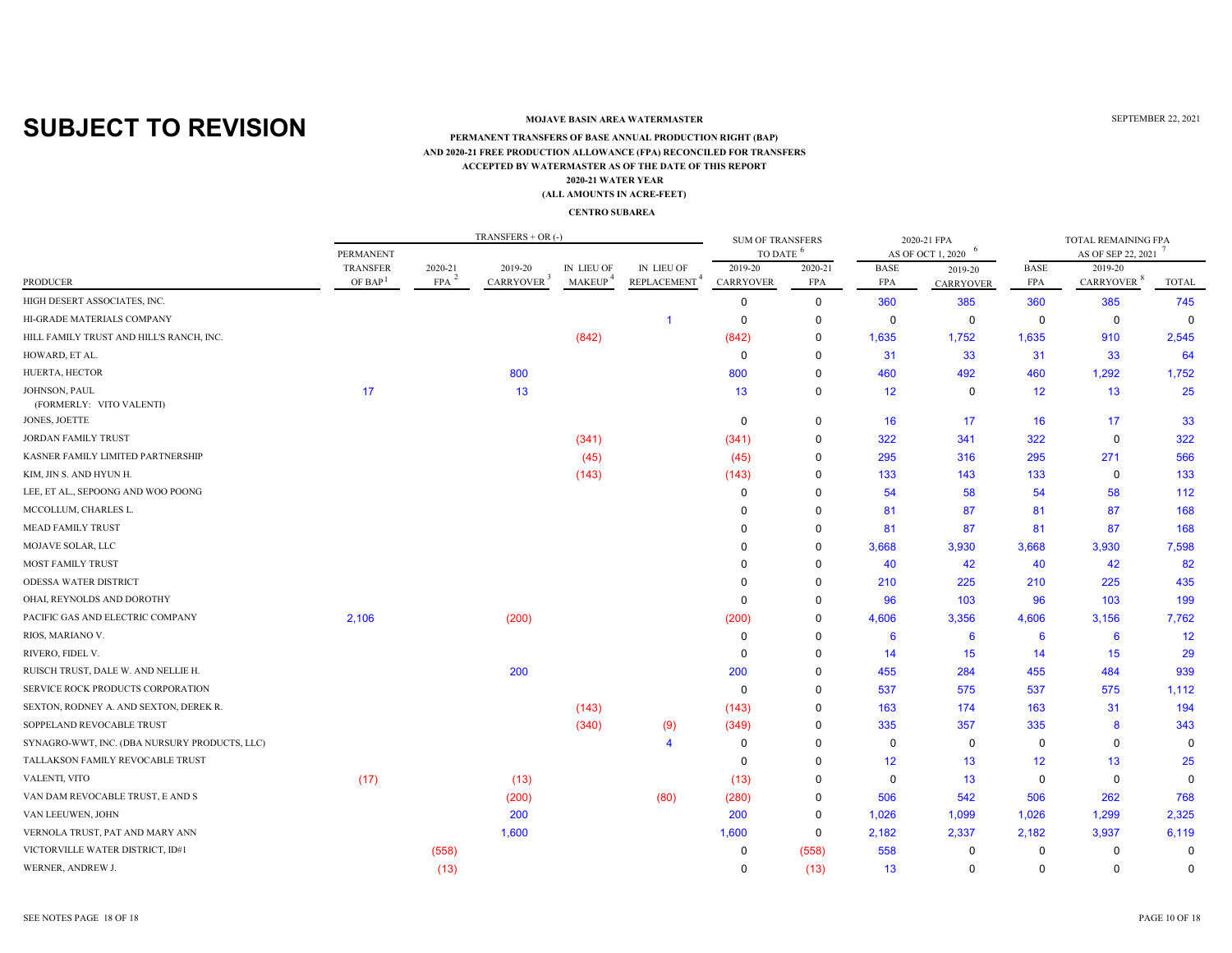### **MOJAVE BASIN AREA WATERMASTER**

#### **ACCEPTED BY WATERMASTER AS OF THE DATE OF THIS REPORT(ALL AMOUNTS IN ACRE-FEET) PERMANENT TRANSFERS OF BASE ANNUAL PRODUCTION RIGHT (BAP) 2020-21 WATER YEAR AND 2020-21 FREE PRODUCTION ALLOWANCE (FPA) RECONCILED FOR TRANSFERS**

#### **CENTRO SUBAREA**

|                                               |                     |                    | TRANSFERS $+$ OR $(-)$ |                     |                          | <b>SUM OF TRANSFERS</b> |             |             | 2020-21 FPA            |             | TOTAL REMAINING FPA    |             |
|-----------------------------------------------|---------------------|--------------------|------------------------|---------------------|--------------------------|-------------------------|-------------|-------------|------------------------|-------------|------------------------|-------------|
|                                               | PERMANENT           |                    |                        |                     |                          | TO DATE <sup>6</sup>    |             |             | 6<br>AS OF OCT 1, 2020 |             | AS OF SEP 22, 2021     |             |
|                                               | <b>TRANSFER</b>     | 2020-21            | 2019-20                | IN LIEU OF          | IN LIEU OF               | 2019-20                 | 2020-21     | <b>BASE</b> | 2019-20                | <b>BASE</b> | 2019-20                |             |
| <b>PRODUCER</b>                               | OF BAP <sup>1</sup> | $FPA$ <sup>2</sup> | CARRYOVER <sup>3</sup> | MAKEUP <sup>4</sup> | REPLACEMENT <sup>4</sup> | <b>CARRYOVER</b>        | FPA         | FPA         | <b>CARRYOVER</b>       | FPA         | CARRYOVER <sup>8</sup> | TOTAL       |
| HIGH DESERT ASSOCIATES, INC.                  |                     |                    |                        |                     |                          | 0                       | 0           | 360         | 385                    | 360         | 385                    | 745         |
| HI-GRADE MATERIALS COMPANY                    |                     |                    |                        |                     | -1                       | 0                       | $\mathbf 0$ | 0           | $\mathbf 0$            | $\mathbf 0$ | $\mathbf 0$            | $\Omega$    |
| HILL FAMILY TRUST AND HILL'S RANCH, INC.      |                     |                    |                        | (842)               |                          | (842)                   | $\mathbf 0$ | 1,635       | 1,752                  | 1,635       | 910                    | 2,545       |
| HOWARD, ET AL.                                |                     |                    |                        |                     |                          | $\mathbf 0$             | 0           | 31          | 33                     | 31          | 33                     | 64          |
| HUERTA, HECTOR                                |                     |                    | 800                    |                     |                          | 800                     | $\mathbf 0$ | 460         | 492                    | 460         | 1,292                  | 1,752       |
| JOHNSON, PAUL<br>(FORMERLY: VITO VALENTI)     | 17                  |                    | 13                     |                     |                          | 13                      | 0           | 12          | 0                      | 12          | 13                     | 25          |
| JONES, JOETTE                                 |                     |                    |                        |                     |                          | $\Omega$                | $\mathbf 0$ | 16          | 17                     | 16          | 17                     | 33          |
| <b>JORDAN FAMILY TRUST</b>                    |                     |                    |                        | (341)               |                          | (341)                   | 0           | 322         | 341                    | 322         | $\mathbf 0$            | 322         |
| KASNER FAMILY LIMITED PARTNERSHIP             |                     |                    |                        | (45)                |                          | (45)                    | 0           | 295         | 316                    | 295         | 271                    | 566         |
| KIM, JIN S. AND HYUN H.                       |                     |                    |                        | (143)               |                          | (143)                   | 0           | 133         | 143                    | 133         | $\mathbf 0$            | 133         |
| LEE, ET AL., SEPOONG AND WOO POONG            |                     |                    |                        |                     |                          | 0                       | $\Omega$    | 54          | 58                     | 54          | 58                     | 112         |
| MCCOLLUM, CHARLES L.                          |                     |                    |                        |                     |                          | $\Omega$                | $\Omega$    | 81          | 87                     | 81          | 87                     | 168         |
| <b>MEAD FAMILY TRUST</b>                      |                     |                    |                        |                     |                          | $\Omega$                | $\mathbf 0$ | 81          | 87                     | 81          | 87                     | 168         |
| MOJAVE SOLAR, LLC                             |                     |                    |                        |                     |                          | $\Omega$                | $\mathbf 0$ | 3,668       | 3,930                  | 3,668       | 3,930                  | 7,598       |
| <b>MOST FAMILY TRUST</b>                      |                     |                    |                        |                     |                          | $\Omega$                | $\Omega$    | 40          | 42                     | 40          | 42                     | 82          |
| <b>ODESSA WATER DISTRICT</b>                  |                     |                    |                        |                     |                          | $\Omega$                | $\mathbf 0$ | 210         | 225                    | 210         | 225                    | 435         |
| OHAI, REYNOLDS AND DOROTHY                    |                     |                    |                        |                     |                          | $\Omega$                | $\Omega$    | 96          | 103                    | 96          | 103                    | 199         |
| PACIFIC GAS AND ELECTRIC COMPANY              | 2,106               |                    | (200)                  |                     |                          | (200)                   | 0           | 4,606       | 3,356                  | 4,606       | 3,156                  | 7,762       |
| RIOS, MARIANO V.                              |                     |                    |                        |                     |                          | $\mathbf 0$             | $\Omega$    | 6           | 6                      | 6           | $6\phantom{1}6$        | 12          |
| RIVERO, FIDEL V.                              |                     |                    |                        |                     |                          | $\Omega$                | $\Omega$    | 14          | 15                     | 14          | 15                     | 29          |
| RUISCH TRUST, DALE W. AND NELLIE H.           |                     |                    | 200                    |                     |                          | 200                     | $\Omega$    | 455         | 284                    | 455         | 484                    | 939         |
| SERVICE ROCK PRODUCTS CORPORATION             |                     |                    |                        |                     |                          | $\mathbf 0$             | $\Omega$    | 537         | 575                    | 537         | 575                    | 1,112       |
| SEXTON, RODNEY A. AND SEXTON, DEREK R.        |                     |                    |                        | (143)               |                          | (143)                   | $\mathbf 0$ | 163         | 174                    | 163         | 31                     | 194         |
| SOPPELAND REVOCABLE TRUST                     |                     |                    |                        | (340)               | (9)                      | (349)                   | $\Omega$    | 335         | 357                    | 335         | 8                      | 343         |
| SYNAGRO-WWT, INC. (DBA NURSURY PRODUCTS, LLC) |                     |                    |                        |                     | $\overline{4}$           | $\mathbf 0$             | $\mathbf 0$ | 0           | 0                      | 0           | $\Omega$               | $\Omega$    |
| TALLAKSON FAMILY REVOCABLE TRUST              |                     |                    |                        |                     |                          | $\Omega$                | $\mathbf 0$ | 12          | 13                     | 12          | 13                     | 25          |
| VALENTI, VITO                                 | (17)                |                    | (13)                   |                     |                          | (13)                    | $\mathbf 0$ | $\mathbf 0$ | 13                     | $\mathbf 0$ | $\mathbf 0$            | $\Omega$    |
| VAN DAM REVOCABLE TRUST, E AND S              |                     |                    | (200)                  |                     | (80)                     | (280)                   | $\mathbf 0$ | 506         | 542                    | 506         | 262                    | 768         |
| VAN LEEUWEN, JOHN                             |                     |                    | 200                    |                     |                          | 200                     | 0           | 1,026       | 1,099                  | 1,026       | 1,299                  | 2,325       |
| VERNOLA TRUST, PAT AND MARY ANN               |                     |                    | 1,600                  |                     |                          | 1,600                   | $\mathbf 0$ | 2,182       | 2,337                  | 2,182       | 3,937                  | 6,119       |
| VICTORVILLE WATER DISTRICT, ID#1              |                     | (558)              |                        |                     |                          | $\mathbf 0$             | (558)       | 558         | $\mathbf 0$            | 0           | 0                      | 0           |
| WERNER, ANDREW J.                             |                     | (13)               |                        |                     |                          | $\Omega$                | (13)        | 13          | $\mathbf 0$            | $\mathbf 0$ | $\mathbf 0$            | $\mathbf 0$ |

SEE NOTES PAGE 18 OF 18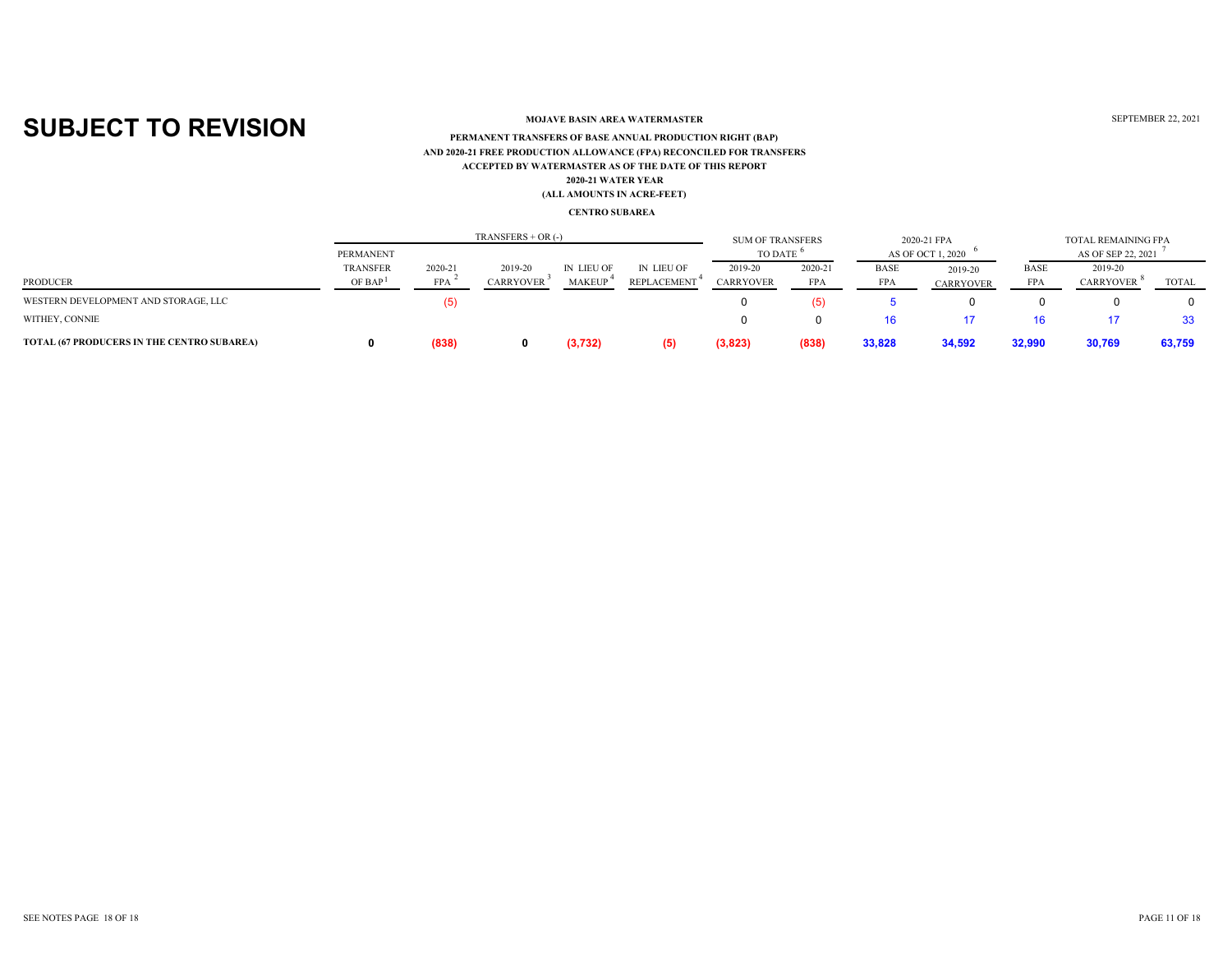### **MOJAVE BASIN AREA WATERMASTER**

### **ACCEPTED BY WATERMASTER AS OF THE DATE OF THIS REPORT(ALL AMOUNTS IN ACRE-FEET) PERMANENT TRANSFERS OF BASE ANNUAL PRODUCTION RIGHT (BAP) 2020-21 WATER YEAR AND 2020-21 FREE PRODUCTION ALLOWANCE (FPA) RECONCILED FOR TRANSFERS**

#### **CENTRO SUBAREA**

|                                            | $TRANSFERS + OR$ (-)  |            |                  |               |                   |                |         |            | 2020-21 FPA       |             | <b>TOTAL REMAINING FPA</b> |              |
|--------------------------------------------|-----------------------|------------|------------------|---------------|-------------------|----------------|---------|------------|-------------------|-------------|----------------------------|--------------|
|                                            | PERMANENT             |            |                  |               |                   | <b>TO DATE</b> |         |            | AS OF OCT 1, 2020 |             | AS OF SEP 22, 2021         |              |
|                                            | TRANSFER              | 2020-21    | 2019-20          | IN LIEU OF    | <b>IN LIEU OF</b> | 2019-20        | 2020-21 | BASE       | 2019-20           | <b>BASE</b> | 2019-20                    |              |
| PRODUCER                                   | $OF$ BAP <sup>1</sup> | <b>FPA</b> | <b>CARRYOVER</b> | <b>MAKEUI</b> | REPLACEMENT       | CARRYOVER      | FPA     | <b>FPA</b> | <b>CARRYOVER</b>  | <b>FPA</b>  | <b>CARRYOVER</b>           | <b>TOTAL</b> |
| WESTERN DEVELOPMENT AND STORAGE, LLC       |                       |            |                  |               |                   |                | (5)     |            |                   |             |                            |              |
| WITHEY, CONNIE                             |                       |            |                  |               |                   | 0              |         |            |                   | 16          |                            | 33           |
| TOTAL (67 PRODUCERS IN THE CENTRO SUBAREA) |                       | (838)      |                  | (3,732)       | (5)               | (3,823)        | (838)   | 33,828     | 34,592            | 32,990      | 30,769                     | 63,759       |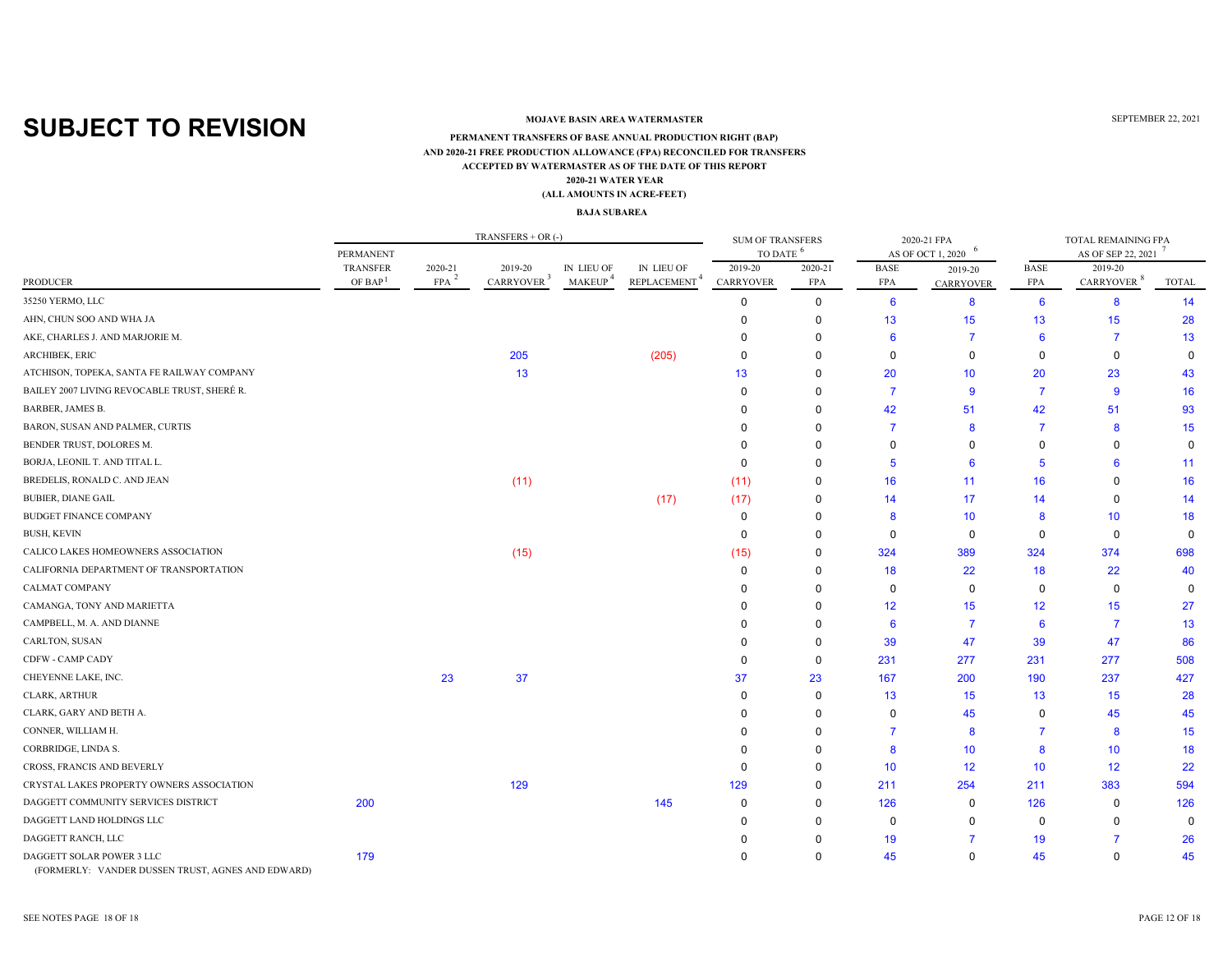### **MOJAVE BASIN AREA WATERMASTER**

#### **ACCEPTED BY WATERMASTER AS OF THE DATE OF THIS REPORT (ALL AMOUNTS IN ACRE-FEET) PERMANENT TRANSFERS OF BASE ANNUAL PRODUCTION RIGHT (BAP) 2020-21 WATER YEAR AND 2020-21 FREE PRODUCTION ALLOWANCE (FPA) RECONCILED FOR TRANSFERS**

#### **BAJA SUBAREA**

|                                                                                |                                        |                       | $TRANSFERS + OR$ (-)              |                                   |                                        | <b>SUM OF TRANSFERS</b>     |                |                    | 2020-21 FPA            |                           | TOTAL REMAINING FPA               |              |
|--------------------------------------------------------------------------------|----------------------------------------|-----------------------|-----------------------------------|-----------------------------------|----------------------------------------|-----------------------------|----------------|--------------------|------------------------|---------------------------|-----------------------------------|--------------|
|                                                                                | PERMANENT                              |                       |                                   |                                   |                                        | <b>TO DATE</b>              | -6             |                    | 6<br>AS OF OCT 1, 2020 |                           | AS OF SEP 22, 2021                |              |
| <b>PRODUCER</b>                                                                | <b>TRANSFER</b><br>OF BAP <sup>1</sup> | 2020-21<br><b>FPA</b> | 2019-20<br>CARRYOVER <sup>3</sup> | IN LIEU OF<br>MAKEUP <sup>4</sup> | IN LIEU OF<br>REPLACEMENT <sup>4</sup> | 2019-20<br><b>CARRYOVER</b> | 2020-21<br>FPA | <b>BASE</b><br>FPA | 2019-20<br>CARRYOVER   | <b>BASE</b><br><b>FPA</b> | 2019-20<br>CARRYOVER <sup>8</sup> | <b>TOTAL</b> |
| 35250 YERMO, LLC                                                               |                                        |                       |                                   |                                   |                                        | $\Omega$                    | $\mathbf 0$    | $6\phantom{1}6$    | 8                      | $6\phantom{1}6$           | 8                                 | 14           |
| AHN, CHUN SOO AND WHA JA                                                       |                                        |                       |                                   |                                   |                                        | $\Omega$                    | $\mathbf 0$    | 13                 | 15                     | 13                        | 15                                | 28           |
| AKE, CHARLES J. AND MARJORIE M.                                                |                                        |                       |                                   |                                   |                                        |                             | O              | 6                  | 7                      | 6                         | 7                                 | 13           |
| <b>ARCHIBEK, ERIC</b>                                                          |                                        |                       | 205                               |                                   | (205)                                  | $\Omega$                    | O              | $\Omega$           | $\Omega$               | $\Omega$                  | 0                                 | $\Omega$     |
| ATCHISON, TOPEKA, SANTA FE RAILWAY COMPANY                                     |                                        |                       | 13                                |                                   |                                        | 13                          | O              | 20                 | 10 <sup>°</sup>        | 20                        | 23                                | 43           |
| BAILEY 2007 LIVING REVOCABLE TRUST, SHERÉ R.                                   |                                        |                       |                                   |                                   |                                        | $\Omega$                    | $\Omega$       | $\overline{7}$     | 9                      | -7                        | 9                                 | 16           |
| BARBER, JAMES B.                                                               |                                        |                       |                                   |                                   |                                        | n                           | O              | 42                 | 51                     | 42                        | 51                                | 93           |
| BARON, SUSAN AND PALMER, CURTIS                                                |                                        |                       |                                   |                                   |                                        | ŋ                           | O              | 7                  | 8                      | -7                        | 8                                 | 15           |
| BENDER TRUST, DOLORES M.                                                       |                                        |                       |                                   |                                   |                                        |                             |                | O                  | $\Omega$               | $\Omega$                  |                                   | $\Omega$     |
| BORJA, LEONIL T. AND TITAL L.                                                  |                                        |                       |                                   |                                   |                                        | $\Omega$                    |                | 5                  | 6                      | 5                         |                                   | 11           |
| BREDELIS, RONALD C. AND JEAN                                                   |                                        |                       | (11)                              |                                   |                                        | (11)                        | 0              | 16                 | 11                     | 16                        | ŋ                                 | 16           |
| <b>BUBIER, DIANE GAIL</b>                                                      |                                        |                       |                                   |                                   | (17)                                   | (17)                        | O              | 14                 | 17                     | 14                        | $\Omega$                          | 14           |
| <b>BUDGET FINANCE COMPANY</b>                                                  |                                        |                       |                                   |                                   |                                        | $\Omega$                    | 0              | 8                  | 10                     | 8                         | 10                                | 18           |
| <b>BUSH, KEVIN</b>                                                             |                                        |                       |                                   |                                   |                                        | $\Omega$                    | O              | $\Omega$           | 0                      | $\mathbf 0$               | 0                                 | $\Omega$     |
| CALICO LAKES HOMEOWNERS ASSOCIATION                                            |                                        |                       | (15)                              |                                   |                                        | (15)                        | 0              | 324                | 389                    | 324                       | 374                               | 698          |
| CALIFORNIA DEPARTMENT OF TRANSPORTATION                                        |                                        |                       |                                   |                                   |                                        | $\Omega$                    | $\Omega$       | 18                 | 22                     | 18                        | 22                                | 40           |
| CALMAT COMPANY                                                                 |                                        |                       |                                   |                                   |                                        | 0                           | 0              | $\Omega$           | 0                      | 0                         | $\mathbf 0$                       | 0            |
| CAMANGA, TONY AND MARIETTA                                                     |                                        |                       |                                   |                                   |                                        | n                           | $\mathbf 0$    | 12                 | 15                     | 12                        | 15                                | 27           |
| CAMPBELL, M. A. AND DIANNE                                                     |                                        |                       |                                   |                                   |                                        | n                           | $\Omega$       | 6                  | 7                      | 6                         | -7                                | 13           |
| CARLTON, SUSAN                                                                 |                                        |                       |                                   |                                   |                                        | n                           | $\mathbf 0$    | 39                 | 47                     | 39                        | 47                                | 86           |
| CDFW - CAMP CADY                                                               |                                        |                       |                                   |                                   |                                        | $\Omega$                    | $\mathbf 0$    | 231                | 277                    | 231                       | 277                               | 508          |
| CHEYENNE LAKE, INC.                                                            |                                        | 23                    | 37                                |                                   |                                        | 37                          | 23             | 167                | 200                    | 190                       | 237                               | 427          |
| CLARK, ARTHUR                                                                  |                                        |                       |                                   |                                   |                                        | $\Omega$                    | $\mathbf 0$    | 13                 | 15                     | 13                        | 15                                | 28           |
| CLARK, GARY AND BETH A.                                                        |                                        |                       |                                   |                                   |                                        | n                           | $\Omega$       | $\Omega$           | 45                     | 0                         | 45                                | 45           |
| CONNER, WILLIAM H.                                                             |                                        |                       |                                   |                                   |                                        | O                           | 0              | 7                  | 8                      | -7                        | 8                                 | 15           |
| CORBRIDGE, LINDA S.                                                            |                                        |                       |                                   |                                   |                                        |                             | 0              | 8                  | 10                     | 8                         | 10                                | 18           |
| CROSS, FRANCIS AND BEVERLY                                                     |                                        |                       |                                   |                                   |                                        | $\Omega$                    | 0              | 10                 | 12                     | 10                        | 12                                | 22           |
| CRYSTAL LAKES PROPERTY OWNERS ASSOCIATION                                      |                                        |                       | 129                               |                                   |                                        | 129                         | 0              | 211                | 254                    | 211                       | 383                               | 594          |
| DAGGETT COMMUNITY SERVICES DISTRICT                                            | 200                                    |                       |                                   |                                   | 145                                    | $\mathbf 0$                 | $\mathbf 0$    | 126                | 0                      | 126                       | $\mathbf 0$                       | 126          |
| DAGGETT LAND HOLDINGS LLC                                                      |                                        |                       |                                   |                                   |                                        | $\Omega$                    | $\Omega$       | $\mathbf 0$        | $\Omega$               | 0                         | 0                                 | 0            |
| DAGGETT RANCH, LLC                                                             |                                        |                       |                                   |                                   |                                        | O                           | $\Omega$       | 19                 |                        | 19                        | 7                                 | 26           |
| DAGGETT SOLAR POWER 3 LLC<br>(FORMERLY: VANDER DUSSEN TRUST, AGNES AND EDWARD) | 179                                    |                       |                                   |                                   |                                        | ŋ                           | $\mathbf 0$    | 45                 | $\Omega$               | 45                        | 0                                 | 45           |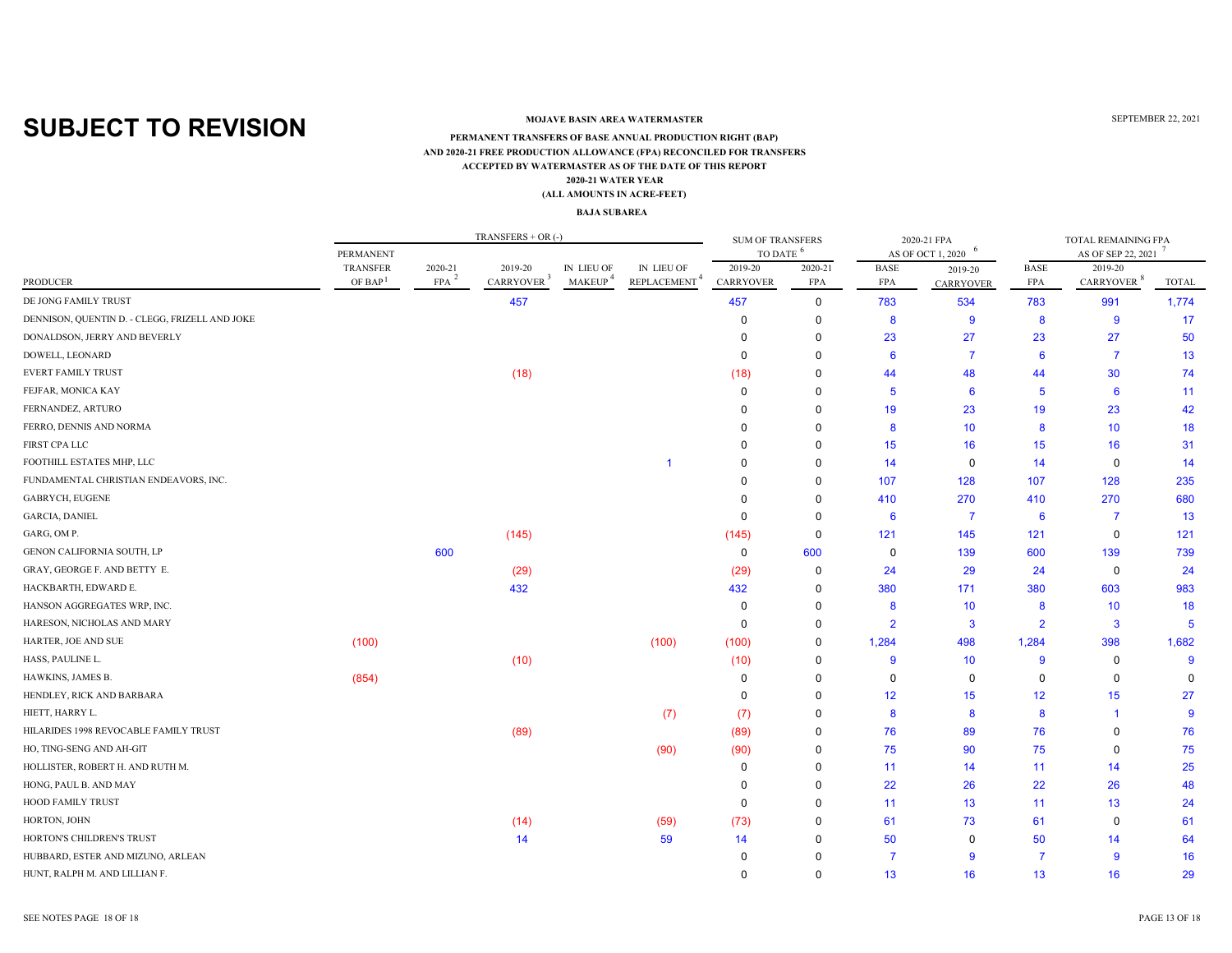### **MOJAVE BASIN AREA WATERMASTER**

#### **ACCEPTED BY WATERMASTER AS OF THE DATE OF THIS REPORT(ALL AMOUNTS IN ACRE-FEET) PERMANENT TRANSFERS OF BASE ANNUAL PRODUCTION RIGHT (BAP) 2020-21 WATER YEAR AND 2020-21 FREE PRODUCTION ALLOWANCE (FPA) RECONCILED FOR TRANSFERS**

#### **BAJA SUBAREA**

|                                                |                     |         | TRANSFERS $+$ OR $(-)$ |                     |                          | <b>SUM OF TRANSFERS</b><br>TO DATE <sup>6</sup> |             |                | 2020-21 FPA            | TOTAL REMAINING FPA |                        |              |  |
|------------------------------------------------|---------------------|---------|------------------------|---------------------|--------------------------|-------------------------------------------------|-------------|----------------|------------------------|---------------------|------------------------|--------------|--|
|                                                | PERMANENT           |         |                        |                     |                          |                                                 |             |                | 6<br>AS OF OCT 1, 2020 |                     | AS OF SEP 22, 2021     |              |  |
|                                                | <b>TRANSFER</b>     | 2020-21 | 2019-20                | IN LIEU OF          | IN LIEU OF               | 2019-20                                         | 2020-21     | <b>BASE</b>    | 2019-20                | <b>BASE</b>         | 2019-20                |              |  |
| PRODUCER                                       | OF BAP <sup>1</sup> | FPA     | CARRYOVER <sup>3</sup> | MAKEUP <sup>4</sup> | REPLACEMENT <sup>4</sup> | <b>CARRYOVER</b>                                | <b>FPA</b>  | <b>FPA</b>     | CARRYOVER              | FPA                 | CARRYOVER <sup>8</sup> | <b>TOTAL</b> |  |
| DE JONG FAMILY TRUST                           |                     |         | 457                    |                     |                          | 457                                             | 0           | 783            | 534                    | 783                 | 991                    | 1,774        |  |
| DENNISON, QUENTIN D. - CLEGG, FRIZELL AND JOKE |                     |         |                        |                     |                          | 0                                               | 0           | 8              | 9                      | 8                   | $\overline{9}$         | 17           |  |
| DONALDSON, JERRY AND BEVERLY                   |                     |         |                        |                     |                          | $\Omega$                                        | $\Omega$    | 23             | 27                     | 23                  | 27                     | 50           |  |
| DOWELL, LEONARD                                |                     |         |                        |                     |                          | $\Omega$                                        | $\Omega$    | 6              | 7                      | 6                   | 7                      | 13           |  |
| <b>EVERT FAMILY TRUST</b>                      |                     |         | (18)                   |                     |                          | (18)                                            | $\Omega$    | 44             | 48                     | 44                  | 30                     | 74           |  |
| FEJFAR, MONICA KAY                             |                     |         |                        |                     |                          | 0                                               | 0           | 5              | 6                      | 5                   | 6                      | 11           |  |
| FERNANDEZ, ARTURO                              |                     |         |                        |                     |                          | $\Omega$                                        | $\Omega$    | 19             | 23                     | 19                  | 23                     | 42           |  |
| FERRO, DENNIS AND NORMA                        |                     |         |                        |                     |                          | $\Omega$                                        | 0           | 8              | 10                     | 8                   | 10                     | 18           |  |
| FIRST CPA LLC                                  |                     |         |                        |                     |                          | $\Omega$                                        | $\Omega$    | 15             | 16                     | 15                  | 16                     | 31           |  |
| FOOTHILL ESTATES MHP, LLC                      |                     |         |                        |                     | -1                       | 0                                               | 0           | 14             | 0                      | 14                  | $\mathbf 0$            | 14           |  |
| FUNDAMENTAL CHRISTIAN ENDEAVORS, INC.          |                     |         |                        |                     |                          |                                                 | $\Omega$    | 107            | 128                    | 107                 | 128                    | 235          |  |
| <b>GABRYCH, EUGENE</b>                         |                     |         |                        |                     |                          |                                                 | 0           | 410            | 270                    | 410                 | 270                    | 680          |  |
| <b>GARCIA, DANIEL</b>                          |                     |         |                        |                     |                          | 0                                               | 0           | 6              | 7                      | 6                   | -7                     | 13           |  |
| GARG, OM P.                                    |                     |         | (145)                  |                     |                          | (145)                                           | 0           | 121            | 145                    | 121                 | 0                      | 121          |  |
| GENON CALIFORNIA SOUTH, LP                     |                     | 600     |                        |                     |                          | $\mathbf 0$                                     | 600         | 0              | 139                    | 600                 | 139                    | 739          |  |
| GRAY, GEORGE F. AND BETTY E.                   |                     |         | (29)                   |                     |                          | (29)                                            | 0           | 24             | 29                     | 24                  | $\mathbf 0$            | 24           |  |
| HACKBARTH, EDWARD E.                           |                     |         | 432                    |                     |                          | 432                                             | $\Omega$    | 380            | 171                    | 380                 | 603                    | 983          |  |
| HANSON AGGREGATES WRP, INC.                    |                     |         |                        |                     |                          | 0                                               | $\Omega$    | 8              | 10                     | 8                   | 10                     | 18           |  |
| HARESON, NICHOLAS AND MARY                     |                     |         |                        |                     |                          | 0                                               | 0           | $\overline{2}$ | 3                      | $\overline{2}$      | 3                      | 5            |  |
| HARTER, JOE AND SUE                            | (100)               |         |                        |                     | (100)                    | (100)                                           | 0           | 1,284          | 498                    | 1,284               | 398                    | 1,682        |  |
| HASS, PAULINE L.                               |                     |         | (10)                   |                     |                          | (10)                                            | 0           | 9              | 10                     | 9                   | 0                      | 9            |  |
| HAWKINS, JAMES B.                              | (854)               |         |                        |                     |                          | $\Omega$                                        | $\mathbf 0$ | $\Omega$       | 0                      | $\mathbf 0$         | $\mathbf 0$            | $\Omega$     |  |
| HENDLEY, RICK AND BARBARA                      |                     |         |                        |                     |                          | $\mathbf 0$                                     | 0           | 12             | 15                     | 12                  | 15                     | 27           |  |
| HIETT, HARRY L.                                |                     |         |                        |                     | (7)                      | (7)                                             | 0           | 8              | 8                      | 8                   | -1                     | -9           |  |
| HILARIDES 1998 REVOCABLE FAMILY TRUST          |                     |         | (89)                   |                     |                          | (89)                                            | 0           | 76             | 89                     | 76                  | $\mathbf 0$            | 76           |  |
| HO, TING-SENG AND AH-GIT                       |                     |         |                        |                     | (90)                     | (90)                                            | 0           | 75             | 90                     | 75                  | $\mathbf 0$            | 75           |  |
| HOLLISTER, ROBERT H. AND RUTH M.               |                     |         |                        |                     |                          | 0                                               | 0           | 11             | 14                     | 11                  | 14                     | 25           |  |
| HONG, PAUL B. AND MAY                          |                     |         |                        |                     |                          | $\Omega$                                        | 0           | 22             | 26                     | 22                  | 26                     | 48           |  |
| <b>HOOD FAMILY TRUST</b>                       |                     |         |                        |                     |                          | 0                                               | $\Omega$    | 11             | 13                     | 11                  | 13                     | 24           |  |
| HORTON, JOHN                                   |                     |         | (14)                   |                     | (59)                     | (73)                                            | 0           | 61             | 73                     | 61                  | 0                      | 61           |  |
| HORTON'S CHILDREN'S TRUST                      |                     |         | 14                     |                     | 59                       | 14                                              | $\Omega$    | 50             | 0                      | 50                  | 14                     | 64           |  |
| HUBBARD, ESTER AND MIZUNO, ARLEAN              |                     |         |                        |                     |                          | 0                                               |             | 7              | 9                      | -7                  | -9                     | 16           |  |
| HUNT, RALPH M. AND LILLIAN F.                  |                     |         |                        |                     |                          | $\Omega$                                        | $\Omega$    | 13             | 16                     | 13                  | 16                     | 29           |  |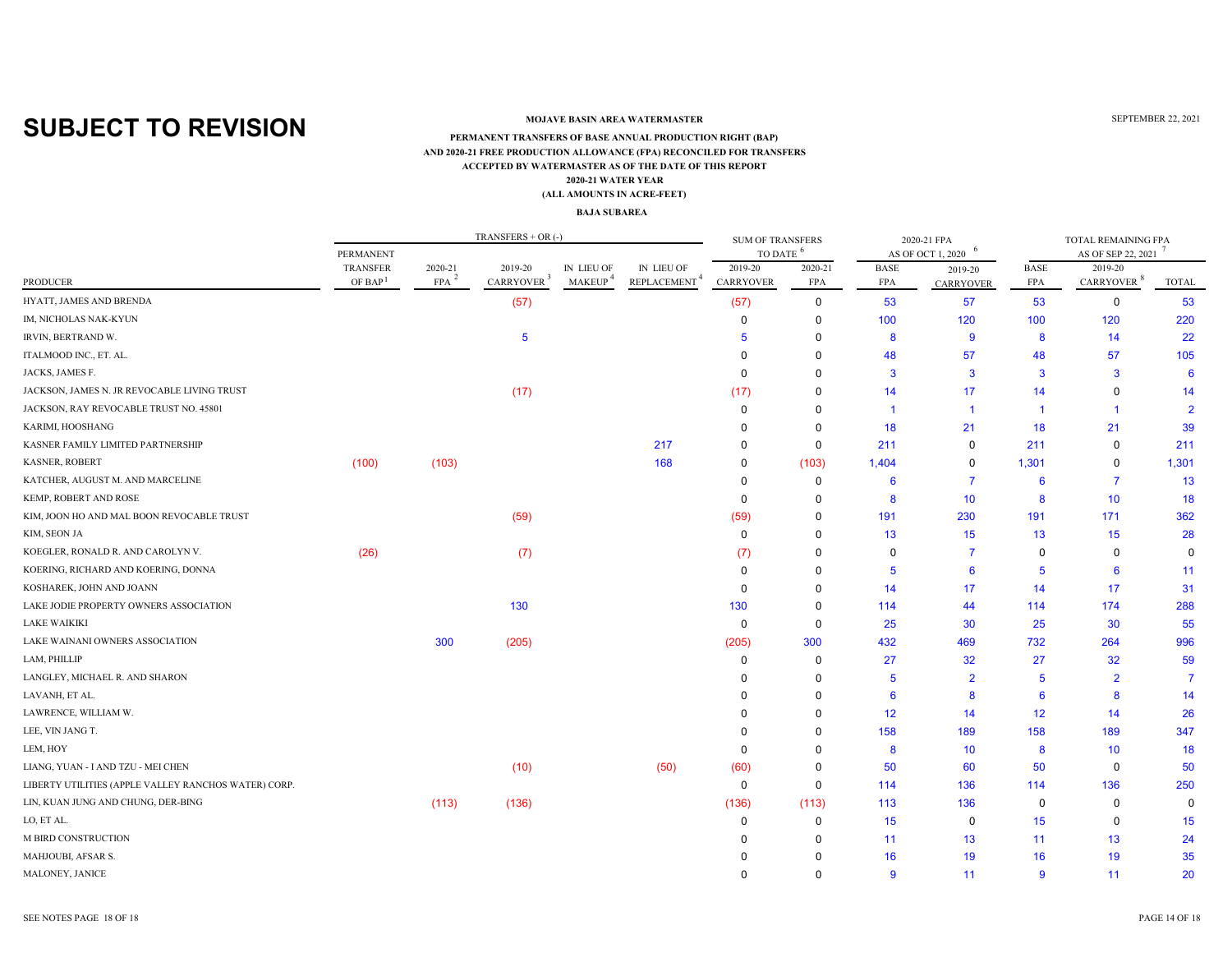### **MOJAVE BASIN AREA WATERMASTER**

#### **ACCEPTED BY WATERMASTER AS OF THE DATE OF THIS REPORT(ALL AMOUNTS IN ACRE-FEET) PERMANENT TRANSFERS OF BASE ANNUAL PRODUCTION RIGHT (BAP) 2020-21 WATER YEAR AND 2020-21 FREE PRODUCTION ALLOWANCE (FPA) RECONCILED FOR TRANSFERS**

#### **BAJA SUBAREA**

|                                                      |                     |         | $TRANSFERS + OR$ (-)   |                     |                          | <b>SUM OF TRANSFERS</b><br>TO DATE <sup>6</sup> |             |                        | 2020-21 FPA    | TOTAL REMAINING FPA |                        |                 |  |
|------------------------------------------------------|---------------------|---------|------------------------|---------------------|--------------------------|-------------------------------------------------|-------------|------------------------|----------------|---------------------|------------------------|-----------------|--|
|                                                      | PERMANENT           |         |                        | IN LIEU OF          | IN LIEU OF               |                                                 |             | 6<br>AS OF OCT 1, 2020 |                | AS OF SEP 22, 2021  |                        |                 |  |
|                                                      | <b>TRANSFER</b>     | 2020-21 | 2019-20                |                     |                          | 2019-20                                         | 2020-21     | <b>BASE</b>            | 2019-20        | <b>BASE</b>         | 2019-20                |                 |  |
| PRODUCER                                             | OF BAP <sup>1</sup> | FPA     | CARRYOVER <sup>3</sup> | MAKEUP <sup>4</sup> | REPLACEMENT <sup>4</sup> | <b>CARRYOVER</b>                                | <b>FPA</b>  | <b>FPA</b>             | CARRYOVER      | FPA                 | CARRYOVER <sup>8</sup> | <b>TOTAL</b>    |  |
| HYATT, JAMES AND BRENDA                              |                     |         | (57)                   |                     |                          | (57)                                            | 0           | 53                     | 57             | 53                  | 0                      | 53              |  |
| IM, NICHOLAS NAK-KYUN                                |                     |         |                        |                     |                          | 0                                               | 0           | 100                    | 120            | 100                 | 120                    | 220             |  |
| IRVIN, BERTRAND W.                                   |                     |         | 5                      |                     |                          | 5                                               | $\Omega$    | 8                      | 9              | 8                   | 14                     | 22              |  |
| ITALMOOD INC., ET. AL.                               |                     |         |                        |                     |                          | $\Omega$                                        | $\Omega$    | 48                     | 57             | 48                  | 57                     | 105             |  |
| JACKS, JAMES F.                                      |                     |         |                        |                     |                          | $\Omega$                                        | 0           | 3                      | 3              | $\mathbf{3}$        | $\mathbf{3}$           | $6\phantom{1}6$ |  |
| JACKSON, JAMES N. JR REVOCABLE LIVING TRUST          |                     |         | (17)                   |                     |                          | (17)                                            | 0           | 14                     | 17             | 14                  | $\mathbf 0$            | 14              |  |
| JACKSON, RAY REVOCABLE TRUST NO. 45801               |                     |         |                        |                     |                          | 0                                               | $\Omega$    | -1                     | -1             | -1                  | -1                     | $\overline{2}$  |  |
| KARIMI, HOOSHANG                                     |                     |         |                        |                     |                          | $\Omega$                                        | 0           | 18                     | 21             | 18                  | 21                     | 39              |  |
| KASNER FAMILY LIMITED PARTNERSHIP                    |                     |         |                        |                     | 217                      | $\Omega$                                        | 0           | 211                    | 0              | 211                 | 0                      | 211             |  |
| KASNER, ROBERT                                       | (100)               | (103)   |                        |                     | 168                      | 0                                               | (103)       | 1,404                  | 0              | 1,301               | $\mathbf 0$            | 1,301           |  |
| KATCHER, AUGUST M. AND MARCELINE                     |                     |         |                        |                     |                          | $\Omega$                                        | 0           | 6                      | $\overline{7}$ | 6                   | $\overline{7}$         | 13              |  |
| KEMP, ROBERT AND ROSE                                |                     |         |                        |                     |                          | $\Omega$                                        | 0           | 8                      | 10             | 8                   | 10                     | 18              |  |
| KIM, JOON HO AND MAL BOON REVOCABLE TRUST            |                     |         | (59)                   |                     |                          | (59)                                            | 0           | 191                    | 230            | 191                 | 171                    | 362             |  |
| KIM, SEON JA                                         |                     |         |                        |                     |                          | $\mathbf 0$                                     | $\Omega$    | 13                     | 15             | 13                  | 15                     | 28              |  |
| KOEGLER, RONALD R. AND CAROLYN V.                    | (26)                |         | (7)                    |                     |                          | (7)                                             | $\Omega$    | 0                      | 7              | 0                   | $\mathbf 0$            | $\Omega$        |  |
| KOERING, RICHARD AND KOERING, DONNA                  |                     |         |                        |                     |                          | $\Omega$                                        | $\Omega$    | 5                      | 6              | 5                   | 6                      | 11              |  |
| KOSHAREK, JOHN AND JOANN                             |                     |         |                        |                     |                          | $\Omega$                                        | 0           | 14                     | 17             | 14                  | 17                     | 31              |  |
| LAKE JODIE PROPERTY OWNERS ASSOCIATION               |                     |         | 130                    |                     |                          | 130                                             | $\Omega$    | 114                    | 44             | 114                 | 174                    | 288             |  |
| <b>LAKE WAIKIKI</b>                                  |                     |         |                        |                     |                          | 0                                               | 0           | 25                     | 30             | 25                  | 30                     | 55              |  |
| LAKE WAINANI OWNERS ASSOCIATION                      |                     | 300     | (205)                  |                     |                          | (205)                                           | 300         | 432                    | 469            | 732                 | 264                    | 996             |  |
| LAM, PHILLIP                                         |                     |         |                        |                     |                          | 0                                               | 0           | 27                     | 32             | 27                  | 32                     | 59              |  |
| LANGLEY, MICHAEL R. AND SHARON                       |                     |         |                        |                     |                          | $\Omega$                                        | $\mathbf 0$ | 5                      | $\overline{2}$ | 5                   | $\overline{2}$         | 7               |  |
| LAVANH, ET AL.                                       |                     |         |                        |                     |                          | $\Omega$                                        | 0           | 6                      | 8              | 6                   | 8                      | 14              |  |
| LAWRENCE, WILLIAM W.                                 |                     |         |                        |                     |                          | $\Omega$                                        | 0           | 12                     | 14             | 12                  | 14                     | 26              |  |
| LEE, VIN JANG T.                                     |                     |         |                        |                     |                          | $\Omega$                                        | $\Omega$    | 158                    | 189            | 158                 | 189                    | 347             |  |
| LEM, HOY                                             |                     |         |                        |                     |                          | $\Omega$                                        | $\Omega$    | 8                      | 10             | 8                   | 10                     | 18              |  |
| LIANG, YUAN - I AND TZU - MEI CHEN                   |                     |         | (10)                   |                     | (50)                     | (60)                                            | 0           | 50                     | 60             | 50                  | 0                      | 50              |  |
| LIBERTY UTILITIES (APPLE VALLEY RANCHOS WATER) CORP. |                     |         |                        |                     |                          | $\mathbf 0$                                     | $\mathbf 0$ | 114                    | 136            | 114                 | 136                    | 250             |  |
| LIN, KUAN JUNG AND CHUNG, DER-BING                   |                     | (113)   | (136)                  |                     |                          | (136)                                           | (113)       | 113                    | 136            | 0                   | 0                      | $\Omega$        |  |
| LO, ET AL.                                           |                     |         |                        |                     |                          | 0                                               | 0           | 15                     | 0              | 15                  | 0                      | 15              |  |
| M BIRD CONSTRUCTION                                  |                     |         |                        |                     |                          | 0                                               | $\Omega$    | 11                     | 13             | 11                  | 13                     | 24              |  |
| MAHJOUBI, AFSAR S.                                   |                     |         |                        |                     |                          | O                                               |             | 16                     | 19             | 16                  | 19                     | 35              |  |
| MALONEY, JANICE                                      |                     |         |                        |                     |                          | $\Omega$                                        | $\Omega$    | 9                      | 11             | 9                   | 11                     | 20              |  |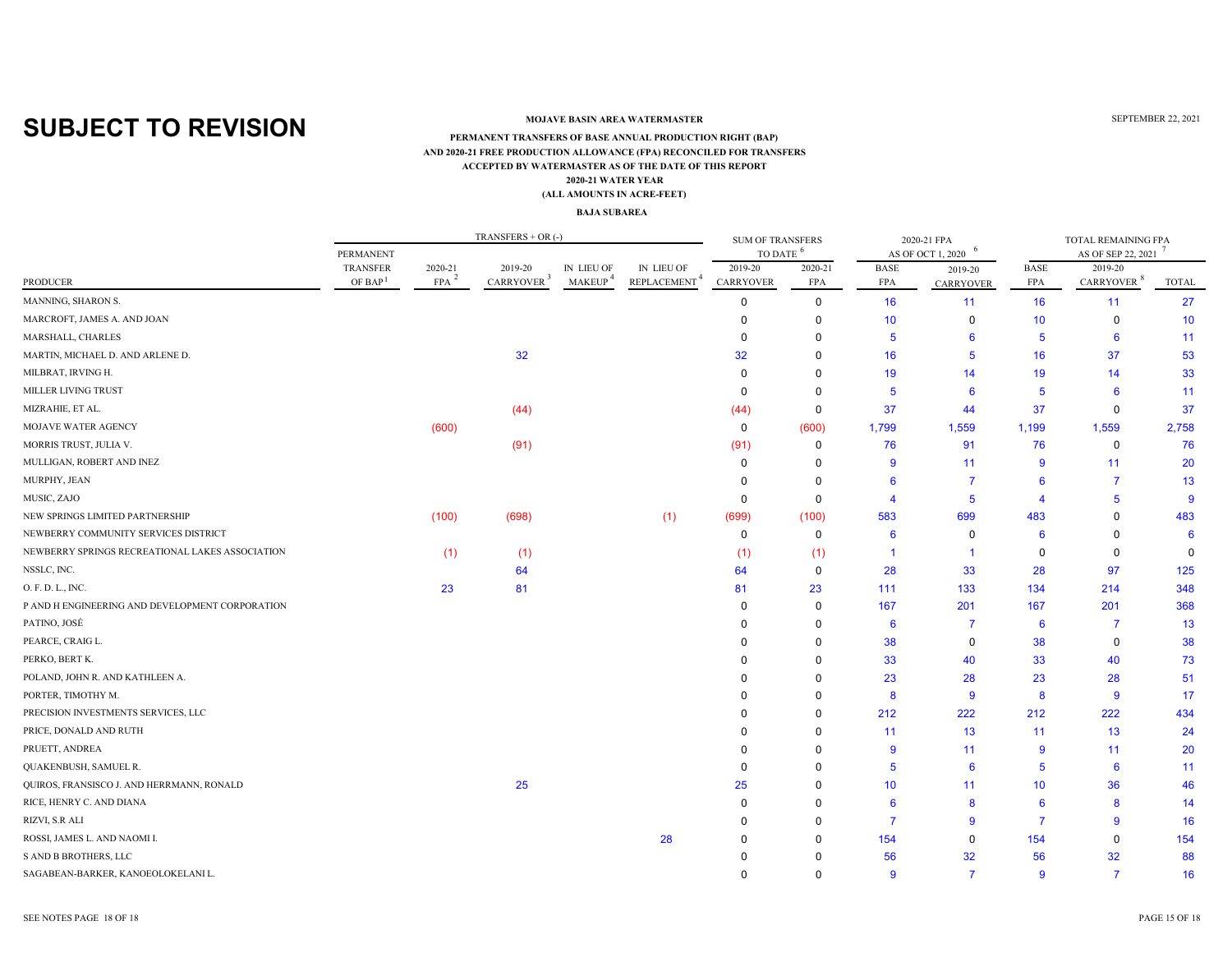### **MOJAVE BASIN AREA WATERMASTER**

#### **ACCEPTED BY WATERMASTER AS OF THE DATE OF THIS REPORT(ALL AMOUNTS IN ACRE-FEET) PERMANENT TRANSFERS OF BASE ANNUAL PRODUCTION RIGHT (BAP) 2020-21 WATER YEAR AND 2020-21 FREE PRODUCTION ALLOWANCE (FPA) RECONCILED FOR TRANSFERS**

#### **BAJA SUBAREA**

| - 6<br>TO DATE<br>AS OF SEP 22, 2021<br>PERMANENT<br>AS OF OCT 1, 2020<br><b>TRANSFER</b><br>2020-21<br>IN LIEU OF<br>2019-20<br>2020-21<br><b>BASE</b><br><b>BASE</b><br>2019-20<br>2019-20<br>IN LIEU OF<br>2019-20<br>CARRYOVER <sup>3</sup><br>$\texttt{REPLACEMENT}^4$<br>MAKEUP <sup>4</sup><br>CARRYOVER $^8$<br>OF BAP $1$<br>FPA <sup>3</sup><br>CARRYOVER<br><b>FPA</b><br><b>PRODUCER</b><br><b>FPA</b><br><b>FPA</b><br><b>TOTAL</b><br><b>CARRYOVER</b><br>27<br>$\mathbf 0$<br>16<br>16<br>$\Omega$<br>11<br>11<br>10<br>10<br>10<br>0<br>0<br>0<br>0<br>$\mathbf 0$<br>6<br>11<br>$\Omega$<br>5<br>6<br>5<br>32<br>37<br>32<br>16<br>16<br>53<br>$\Omega$<br>5<br>19<br>33<br>$\Omega$<br>19<br>14<br>$\Omega$<br>14<br>6<br>5<br>6<br>11<br>$\Omega$<br>$\Omega$<br>5<br>37<br>37<br>(44)<br>$\mathbf 0$<br>44<br>37<br>$\mathbf 0$<br>(44)<br>2,758<br>(600)<br>$\mathbf 0$<br>(600)<br>1,799<br>1,559<br>1,199<br>1,559<br>(91)<br>(91)<br>76<br>91<br>76<br>$\mathbf 0$<br>76<br>0<br>20<br>11<br>9<br>11<br>$\Omega$<br>0<br>9<br>$\overline{7}$<br>$\overline{7}$<br>13<br>$\Omega$<br>6<br>6<br>$\mathbf 0$<br>5<br>9<br>$\Omega$<br>5<br>Δ<br>Δ<br>699<br>(100)<br>(698)<br>(1)<br>(699)<br>(100)<br>583<br>483<br>$\Omega$<br>483<br>$\mathbf 0$<br>$\mathbf 0$<br>6<br>0<br>6<br>$\Omega$<br>6<br>(1)<br>(1)<br>$\mathbf 0$<br>(1)<br>(1)<br>0<br>$\Omega$<br>-1<br>-1<br>28<br>97<br>125<br>64<br>64<br>$\mathbf 0$<br>33<br>28<br>348<br>23<br>81<br>81<br>23<br>111<br>133<br>134<br>214<br>368<br>167<br>201<br>167<br>201<br>0<br>$\Omega$<br>$\overline{7}$<br>13<br>$\mathbf 0$<br>6<br>$\overline{7}$<br>6<br>38<br>38<br>$\mathbf 0$<br>38<br>$\Omega$<br>0<br>PERKO, BERT K.<br>33<br>40<br>40<br>73<br>$\Omega$<br>33<br>23<br>23<br>28<br>51<br>$\Omega$<br>28<br>8<br>9<br>8<br>9<br>17<br>$\Omega$<br>PRECISION INVESTMENTS SERVICES, LLC<br>212<br>222<br>212<br>222<br>434<br>$\Omega$<br>PRICE, DONALD AND RUTH<br>13<br>13<br>24<br>$\Omega$<br>11<br>11<br>PRUETT, ANDREA<br>20<br>11<br>9<br>11<br>0<br>9<br>$6\phantom{1}6$<br>QUAKENBUSH, SAMUEL R.<br>6<br>11<br>$\Omega$<br>5<br>5<br>$\Omega$<br>QUIROS, FRANSISCO J. AND HERRMANN, RONALD<br>25<br>25<br>10<br>10<br>36<br>46<br>$\Omega$<br>11<br>RICE, HENRY C. AND DIANA<br>8<br>$6\phantom{1}6$<br>8<br>$\Omega$<br>$\Omega$<br>6<br>14<br>9<br>16<br>RIZVI, S.R ALI<br>$\Omega$<br>$\overline{7}$<br>9<br>7<br>$\Omega$<br>ROSSI, JAMES L. AND NAOMI I.<br>28<br>154<br>154<br>$\Omega$<br>154<br>$\Omega$<br>$\mathbf 0$<br>$\Omega$<br>S AND B BROTHERS, LLC<br>32<br>56<br>32<br>56<br>88<br>SAGABEAN-BARKER, KANOEOLOKELANI L.<br>$\overline{7}$<br>$\mathbf{Q}$<br>$\overline{7}$<br>16<br>$\Omega$<br>$\mathbf{Q}$ |                                                 |  | TRANSFERS + OR $(-)$ |  | <b>SUM OF TRANSFERS</b> |  | 2020-21 FPA | TOTAL REMAINING FPA |  |  |
|----------------------------------------------------------------------------------------------------------------------------------------------------------------------------------------------------------------------------------------------------------------------------------------------------------------------------------------------------------------------------------------------------------------------------------------------------------------------------------------------------------------------------------------------------------------------------------------------------------------------------------------------------------------------------------------------------------------------------------------------------------------------------------------------------------------------------------------------------------------------------------------------------------------------------------------------------------------------------------------------------------------------------------------------------------------------------------------------------------------------------------------------------------------------------------------------------------------------------------------------------------------------------------------------------------------------------------------------------------------------------------------------------------------------------------------------------------------------------------------------------------------------------------------------------------------------------------------------------------------------------------------------------------------------------------------------------------------------------------------------------------------------------------------------------------------------------------------------------------------------------------------------------------------------------------------------------------------------------------------------------------------------------------------------------------------------------------------------------------------------------------------------------------------------------------------------------------------------------------------------------------------------------------------------------------------------------------------------------------------------------------------------------------------------------------------------------------------------------------------------------------------------------------------------------------------------------------------------------------------------------------------------------------------------------------------------------------------------------------|-------------------------------------------------|--|----------------------|--|-------------------------|--|-------------|---------------------|--|--|
|                                                                                                                                                                                                                                                                                                                                                                                                                                                                                                                                                                                                                                                                                                                                                                                                                                                                                                                                                                                                                                                                                                                                                                                                                                                                                                                                                                                                                                                                                                                                                                                                                                                                                                                                                                                                                                                                                                                                                                                                                                                                                                                                                                                                                                                                                                                                                                                                                                                                                                                                                                                                                                                                                                                                  |                                                 |  |                      |  |                         |  |             |                     |  |  |
|                                                                                                                                                                                                                                                                                                                                                                                                                                                                                                                                                                                                                                                                                                                                                                                                                                                                                                                                                                                                                                                                                                                                                                                                                                                                                                                                                                                                                                                                                                                                                                                                                                                                                                                                                                                                                                                                                                                                                                                                                                                                                                                                                                                                                                                                                                                                                                                                                                                                                                                                                                                                                                                                                                                                  |                                                 |  |                      |  |                         |  |             |                     |  |  |
|                                                                                                                                                                                                                                                                                                                                                                                                                                                                                                                                                                                                                                                                                                                                                                                                                                                                                                                                                                                                                                                                                                                                                                                                                                                                                                                                                                                                                                                                                                                                                                                                                                                                                                                                                                                                                                                                                                                                                                                                                                                                                                                                                                                                                                                                                                                                                                                                                                                                                                                                                                                                                                                                                                                                  |                                                 |  |                      |  |                         |  |             |                     |  |  |
|                                                                                                                                                                                                                                                                                                                                                                                                                                                                                                                                                                                                                                                                                                                                                                                                                                                                                                                                                                                                                                                                                                                                                                                                                                                                                                                                                                                                                                                                                                                                                                                                                                                                                                                                                                                                                                                                                                                                                                                                                                                                                                                                                                                                                                                                                                                                                                                                                                                                                                                                                                                                                                                                                                                                  | MANNING, SHARON S.                              |  |                      |  |                         |  |             |                     |  |  |
|                                                                                                                                                                                                                                                                                                                                                                                                                                                                                                                                                                                                                                                                                                                                                                                                                                                                                                                                                                                                                                                                                                                                                                                                                                                                                                                                                                                                                                                                                                                                                                                                                                                                                                                                                                                                                                                                                                                                                                                                                                                                                                                                                                                                                                                                                                                                                                                                                                                                                                                                                                                                                                                                                                                                  | MARCROFT, JAMES A. AND JOAN                     |  |                      |  |                         |  |             |                     |  |  |
|                                                                                                                                                                                                                                                                                                                                                                                                                                                                                                                                                                                                                                                                                                                                                                                                                                                                                                                                                                                                                                                                                                                                                                                                                                                                                                                                                                                                                                                                                                                                                                                                                                                                                                                                                                                                                                                                                                                                                                                                                                                                                                                                                                                                                                                                                                                                                                                                                                                                                                                                                                                                                                                                                                                                  | MARSHALL, CHARLES                               |  |                      |  |                         |  |             |                     |  |  |
|                                                                                                                                                                                                                                                                                                                                                                                                                                                                                                                                                                                                                                                                                                                                                                                                                                                                                                                                                                                                                                                                                                                                                                                                                                                                                                                                                                                                                                                                                                                                                                                                                                                                                                                                                                                                                                                                                                                                                                                                                                                                                                                                                                                                                                                                                                                                                                                                                                                                                                                                                                                                                                                                                                                                  | MARTIN, MICHAEL D. AND ARLENE D.                |  |                      |  |                         |  |             |                     |  |  |
|                                                                                                                                                                                                                                                                                                                                                                                                                                                                                                                                                                                                                                                                                                                                                                                                                                                                                                                                                                                                                                                                                                                                                                                                                                                                                                                                                                                                                                                                                                                                                                                                                                                                                                                                                                                                                                                                                                                                                                                                                                                                                                                                                                                                                                                                                                                                                                                                                                                                                                                                                                                                                                                                                                                                  | MILBRAT, IRVING H.                              |  |                      |  |                         |  |             |                     |  |  |
|                                                                                                                                                                                                                                                                                                                                                                                                                                                                                                                                                                                                                                                                                                                                                                                                                                                                                                                                                                                                                                                                                                                                                                                                                                                                                                                                                                                                                                                                                                                                                                                                                                                                                                                                                                                                                                                                                                                                                                                                                                                                                                                                                                                                                                                                                                                                                                                                                                                                                                                                                                                                                                                                                                                                  | <b>MILLER LIVING TRUST</b>                      |  |                      |  |                         |  |             |                     |  |  |
|                                                                                                                                                                                                                                                                                                                                                                                                                                                                                                                                                                                                                                                                                                                                                                                                                                                                                                                                                                                                                                                                                                                                                                                                                                                                                                                                                                                                                                                                                                                                                                                                                                                                                                                                                                                                                                                                                                                                                                                                                                                                                                                                                                                                                                                                                                                                                                                                                                                                                                                                                                                                                                                                                                                                  | MIZRAHIE, ET AL.                                |  |                      |  |                         |  |             |                     |  |  |
|                                                                                                                                                                                                                                                                                                                                                                                                                                                                                                                                                                                                                                                                                                                                                                                                                                                                                                                                                                                                                                                                                                                                                                                                                                                                                                                                                                                                                                                                                                                                                                                                                                                                                                                                                                                                                                                                                                                                                                                                                                                                                                                                                                                                                                                                                                                                                                                                                                                                                                                                                                                                                                                                                                                                  | MOJAVE WATER AGENCY                             |  |                      |  |                         |  |             |                     |  |  |
|                                                                                                                                                                                                                                                                                                                                                                                                                                                                                                                                                                                                                                                                                                                                                                                                                                                                                                                                                                                                                                                                                                                                                                                                                                                                                                                                                                                                                                                                                                                                                                                                                                                                                                                                                                                                                                                                                                                                                                                                                                                                                                                                                                                                                                                                                                                                                                                                                                                                                                                                                                                                                                                                                                                                  | MORRIS TRUST, JULIA V.                          |  |                      |  |                         |  |             |                     |  |  |
|                                                                                                                                                                                                                                                                                                                                                                                                                                                                                                                                                                                                                                                                                                                                                                                                                                                                                                                                                                                                                                                                                                                                                                                                                                                                                                                                                                                                                                                                                                                                                                                                                                                                                                                                                                                                                                                                                                                                                                                                                                                                                                                                                                                                                                                                                                                                                                                                                                                                                                                                                                                                                                                                                                                                  | MULLIGAN, ROBERT AND INEZ                       |  |                      |  |                         |  |             |                     |  |  |
|                                                                                                                                                                                                                                                                                                                                                                                                                                                                                                                                                                                                                                                                                                                                                                                                                                                                                                                                                                                                                                                                                                                                                                                                                                                                                                                                                                                                                                                                                                                                                                                                                                                                                                                                                                                                                                                                                                                                                                                                                                                                                                                                                                                                                                                                                                                                                                                                                                                                                                                                                                                                                                                                                                                                  | MURPHY, JEAN                                    |  |                      |  |                         |  |             |                     |  |  |
|                                                                                                                                                                                                                                                                                                                                                                                                                                                                                                                                                                                                                                                                                                                                                                                                                                                                                                                                                                                                                                                                                                                                                                                                                                                                                                                                                                                                                                                                                                                                                                                                                                                                                                                                                                                                                                                                                                                                                                                                                                                                                                                                                                                                                                                                                                                                                                                                                                                                                                                                                                                                                                                                                                                                  | MUSIC, ZAJO                                     |  |                      |  |                         |  |             |                     |  |  |
|                                                                                                                                                                                                                                                                                                                                                                                                                                                                                                                                                                                                                                                                                                                                                                                                                                                                                                                                                                                                                                                                                                                                                                                                                                                                                                                                                                                                                                                                                                                                                                                                                                                                                                                                                                                                                                                                                                                                                                                                                                                                                                                                                                                                                                                                                                                                                                                                                                                                                                                                                                                                                                                                                                                                  | NEW SPRINGS LIMITED PARTNERSHIP                 |  |                      |  |                         |  |             |                     |  |  |
|                                                                                                                                                                                                                                                                                                                                                                                                                                                                                                                                                                                                                                                                                                                                                                                                                                                                                                                                                                                                                                                                                                                                                                                                                                                                                                                                                                                                                                                                                                                                                                                                                                                                                                                                                                                                                                                                                                                                                                                                                                                                                                                                                                                                                                                                                                                                                                                                                                                                                                                                                                                                                                                                                                                                  | NEWBERRY COMMUNITY SERVICES DISTRICT            |  |                      |  |                         |  |             |                     |  |  |
|                                                                                                                                                                                                                                                                                                                                                                                                                                                                                                                                                                                                                                                                                                                                                                                                                                                                                                                                                                                                                                                                                                                                                                                                                                                                                                                                                                                                                                                                                                                                                                                                                                                                                                                                                                                                                                                                                                                                                                                                                                                                                                                                                                                                                                                                                                                                                                                                                                                                                                                                                                                                                                                                                                                                  | NEWBERRY SPRINGS RECREATIONAL LAKES ASSOCIATION |  |                      |  |                         |  |             |                     |  |  |
|                                                                                                                                                                                                                                                                                                                                                                                                                                                                                                                                                                                                                                                                                                                                                                                                                                                                                                                                                                                                                                                                                                                                                                                                                                                                                                                                                                                                                                                                                                                                                                                                                                                                                                                                                                                                                                                                                                                                                                                                                                                                                                                                                                                                                                                                                                                                                                                                                                                                                                                                                                                                                                                                                                                                  | NSSLC, INC.                                     |  |                      |  |                         |  |             |                     |  |  |
|                                                                                                                                                                                                                                                                                                                                                                                                                                                                                                                                                                                                                                                                                                                                                                                                                                                                                                                                                                                                                                                                                                                                                                                                                                                                                                                                                                                                                                                                                                                                                                                                                                                                                                                                                                                                                                                                                                                                                                                                                                                                                                                                                                                                                                                                                                                                                                                                                                                                                                                                                                                                                                                                                                                                  | O. F. D. L., INC.                               |  |                      |  |                         |  |             |                     |  |  |
|                                                                                                                                                                                                                                                                                                                                                                                                                                                                                                                                                                                                                                                                                                                                                                                                                                                                                                                                                                                                                                                                                                                                                                                                                                                                                                                                                                                                                                                                                                                                                                                                                                                                                                                                                                                                                                                                                                                                                                                                                                                                                                                                                                                                                                                                                                                                                                                                                                                                                                                                                                                                                                                                                                                                  | P AND H ENGINEERING AND DEVELOPMENT CORPORATION |  |                      |  |                         |  |             |                     |  |  |
|                                                                                                                                                                                                                                                                                                                                                                                                                                                                                                                                                                                                                                                                                                                                                                                                                                                                                                                                                                                                                                                                                                                                                                                                                                                                                                                                                                                                                                                                                                                                                                                                                                                                                                                                                                                                                                                                                                                                                                                                                                                                                                                                                                                                                                                                                                                                                                                                                                                                                                                                                                                                                                                                                                                                  | PATINO, JOSÉ                                    |  |                      |  |                         |  |             |                     |  |  |
|                                                                                                                                                                                                                                                                                                                                                                                                                                                                                                                                                                                                                                                                                                                                                                                                                                                                                                                                                                                                                                                                                                                                                                                                                                                                                                                                                                                                                                                                                                                                                                                                                                                                                                                                                                                                                                                                                                                                                                                                                                                                                                                                                                                                                                                                                                                                                                                                                                                                                                                                                                                                                                                                                                                                  | PEARCE, CRAIG L.                                |  |                      |  |                         |  |             |                     |  |  |
|                                                                                                                                                                                                                                                                                                                                                                                                                                                                                                                                                                                                                                                                                                                                                                                                                                                                                                                                                                                                                                                                                                                                                                                                                                                                                                                                                                                                                                                                                                                                                                                                                                                                                                                                                                                                                                                                                                                                                                                                                                                                                                                                                                                                                                                                                                                                                                                                                                                                                                                                                                                                                                                                                                                                  |                                                 |  |                      |  |                         |  |             |                     |  |  |
|                                                                                                                                                                                                                                                                                                                                                                                                                                                                                                                                                                                                                                                                                                                                                                                                                                                                                                                                                                                                                                                                                                                                                                                                                                                                                                                                                                                                                                                                                                                                                                                                                                                                                                                                                                                                                                                                                                                                                                                                                                                                                                                                                                                                                                                                                                                                                                                                                                                                                                                                                                                                                                                                                                                                  | POLAND, JOHN R. AND KATHLEEN A.                 |  |                      |  |                         |  |             |                     |  |  |
|                                                                                                                                                                                                                                                                                                                                                                                                                                                                                                                                                                                                                                                                                                                                                                                                                                                                                                                                                                                                                                                                                                                                                                                                                                                                                                                                                                                                                                                                                                                                                                                                                                                                                                                                                                                                                                                                                                                                                                                                                                                                                                                                                                                                                                                                                                                                                                                                                                                                                                                                                                                                                                                                                                                                  | PORTER, TIMOTHY M.                              |  |                      |  |                         |  |             |                     |  |  |
|                                                                                                                                                                                                                                                                                                                                                                                                                                                                                                                                                                                                                                                                                                                                                                                                                                                                                                                                                                                                                                                                                                                                                                                                                                                                                                                                                                                                                                                                                                                                                                                                                                                                                                                                                                                                                                                                                                                                                                                                                                                                                                                                                                                                                                                                                                                                                                                                                                                                                                                                                                                                                                                                                                                                  |                                                 |  |                      |  |                         |  |             |                     |  |  |
|                                                                                                                                                                                                                                                                                                                                                                                                                                                                                                                                                                                                                                                                                                                                                                                                                                                                                                                                                                                                                                                                                                                                                                                                                                                                                                                                                                                                                                                                                                                                                                                                                                                                                                                                                                                                                                                                                                                                                                                                                                                                                                                                                                                                                                                                                                                                                                                                                                                                                                                                                                                                                                                                                                                                  |                                                 |  |                      |  |                         |  |             |                     |  |  |
|                                                                                                                                                                                                                                                                                                                                                                                                                                                                                                                                                                                                                                                                                                                                                                                                                                                                                                                                                                                                                                                                                                                                                                                                                                                                                                                                                                                                                                                                                                                                                                                                                                                                                                                                                                                                                                                                                                                                                                                                                                                                                                                                                                                                                                                                                                                                                                                                                                                                                                                                                                                                                                                                                                                                  |                                                 |  |                      |  |                         |  |             |                     |  |  |
|                                                                                                                                                                                                                                                                                                                                                                                                                                                                                                                                                                                                                                                                                                                                                                                                                                                                                                                                                                                                                                                                                                                                                                                                                                                                                                                                                                                                                                                                                                                                                                                                                                                                                                                                                                                                                                                                                                                                                                                                                                                                                                                                                                                                                                                                                                                                                                                                                                                                                                                                                                                                                                                                                                                                  |                                                 |  |                      |  |                         |  |             |                     |  |  |
|                                                                                                                                                                                                                                                                                                                                                                                                                                                                                                                                                                                                                                                                                                                                                                                                                                                                                                                                                                                                                                                                                                                                                                                                                                                                                                                                                                                                                                                                                                                                                                                                                                                                                                                                                                                                                                                                                                                                                                                                                                                                                                                                                                                                                                                                                                                                                                                                                                                                                                                                                                                                                                                                                                                                  |                                                 |  |                      |  |                         |  |             |                     |  |  |
|                                                                                                                                                                                                                                                                                                                                                                                                                                                                                                                                                                                                                                                                                                                                                                                                                                                                                                                                                                                                                                                                                                                                                                                                                                                                                                                                                                                                                                                                                                                                                                                                                                                                                                                                                                                                                                                                                                                                                                                                                                                                                                                                                                                                                                                                                                                                                                                                                                                                                                                                                                                                                                                                                                                                  |                                                 |  |                      |  |                         |  |             |                     |  |  |
|                                                                                                                                                                                                                                                                                                                                                                                                                                                                                                                                                                                                                                                                                                                                                                                                                                                                                                                                                                                                                                                                                                                                                                                                                                                                                                                                                                                                                                                                                                                                                                                                                                                                                                                                                                                                                                                                                                                                                                                                                                                                                                                                                                                                                                                                                                                                                                                                                                                                                                                                                                                                                                                                                                                                  |                                                 |  |                      |  |                         |  |             |                     |  |  |
|                                                                                                                                                                                                                                                                                                                                                                                                                                                                                                                                                                                                                                                                                                                                                                                                                                                                                                                                                                                                                                                                                                                                                                                                                                                                                                                                                                                                                                                                                                                                                                                                                                                                                                                                                                                                                                                                                                                                                                                                                                                                                                                                                                                                                                                                                                                                                                                                                                                                                                                                                                                                                                                                                                                                  |                                                 |  |                      |  |                         |  |             |                     |  |  |
|                                                                                                                                                                                                                                                                                                                                                                                                                                                                                                                                                                                                                                                                                                                                                                                                                                                                                                                                                                                                                                                                                                                                                                                                                                                                                                                                                                                                                                                                                                                                                                                                                                                                                                                                                                                                                                                                                                                                                                                                                                                                                                                                                                                                                                                                                                                                                                                                                                                                                                                                                                                                                                                                                                                                  |                                                 |  |                      |  |                         |  |             |                     |  |  |
|                                                                                                                                                                                                                                                                                                                                                                                                                                                                                                                                                                                                                                                                                                                                                                                                                                                                                                                                                                                                                                                                                                                                                                                                                                                                                                                                                                                                                                                                                                                                                                                                                                                                                                                                                                                                                                                                                                                                                                                                                                                                                                                                                                                                                                                                                                                                                                                                                                                                                                                                                                                                                                                                                                                                  |                                                 |  |                      |  |                         |  |             |                     |  |  |

SEE NOTES PAGE 18 OF 18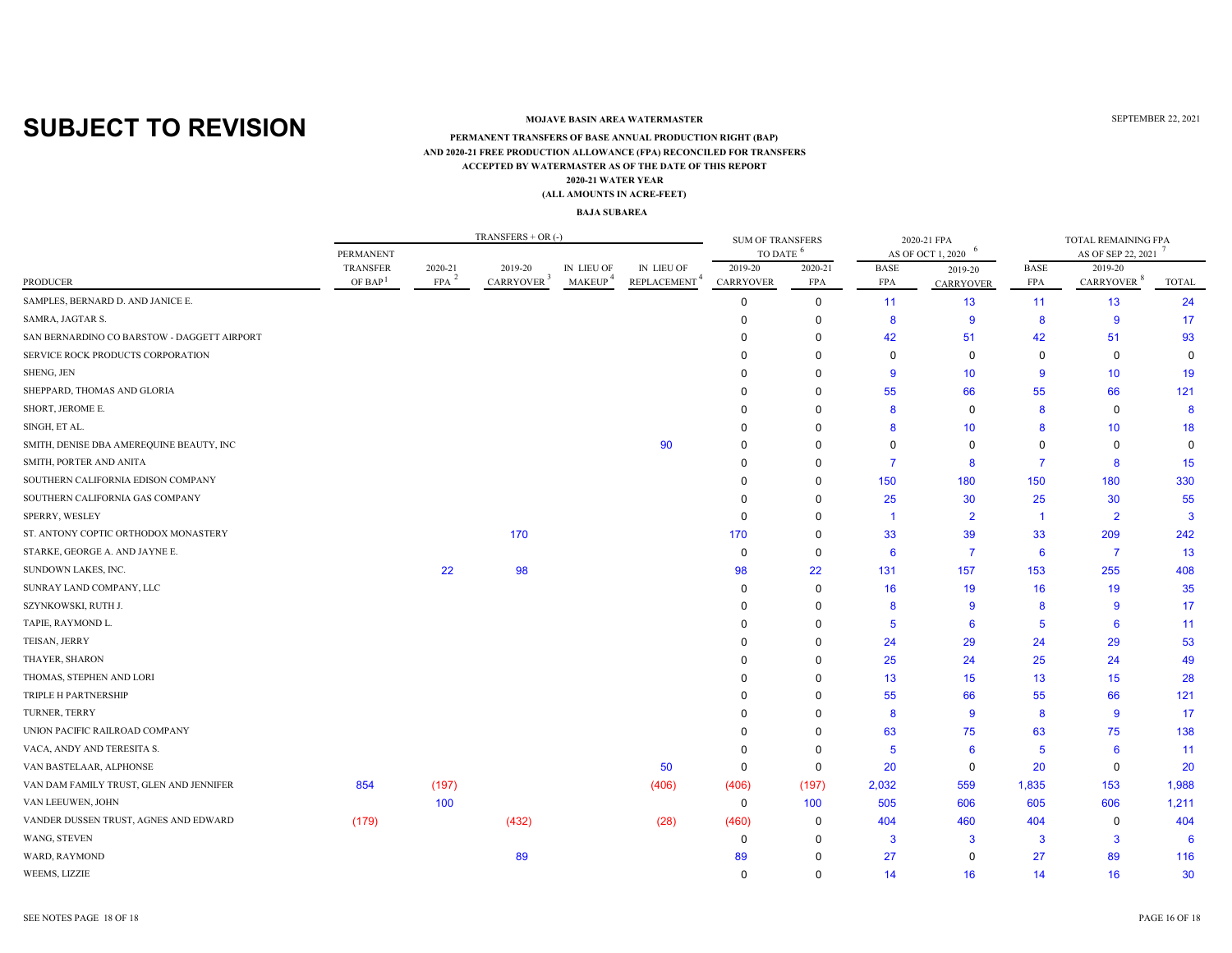### **MOJAVE BASIN AREA WATERMASTER**

#### **ACCEPTED BY WATERMASTER AS OF THE DATE OF THIS REPORT(ALL AMOUNTS IN ACRE-FEET) PERMANENT TRANSFERS OF BASE ANNUAL PRODUCTION RIGHT (BAP) 2020-21 WATER YEAR AND 2020-21 FREE PRODUCTION ALLOWANCE (FPA) RECONCILED FOR TRANSFERS**

#### **BAJA SUBAREA**

|                                             |                                 |                  | $TRANSFERS + OR$ (-) |               |             | <b>SUM OF TRANSFERS</b><br><b>TO DATE</b> |             |             | 2020-21 FPA       | TOTAL REMAINING FPA |                        |              |  |
|---------------------------------------------|---------------------------------|------------------|----------------------|---------------|-------------|-------------------------------------------|-------------|-------------|-------------------|---------------------|------------------------|--------------|--|
|                                             | <b>PERMANENT</b>                |                  |                      |               |             |                                           |             |             | AS OF OCT 1, 2020 |                     | AS OF SEP 22, 2021     |              |  |
|                                             | TRANSFER<br>OF BAP <sup>1</sup> | 2020-21          | 2019-20              | IN LIEU OF    | IN LIEU OF  | 2019-20                                   | 2020-21     | <b>BASE</b> | 2019-20           | <b>BASE</b>         | 2019-20                |              |  |
| <b>PRODUCER</b>                             |                                 | FPA <sup>3</sup> | <b>CARRYOVER</b>     | <b>MAKEUP</b> | REPLACEMENT | <b>CARRYOVER</b>                          | FPA         | <b>FPA</b>  | <b>CARRYOVER</b>  | <b>FPA</b>          | CARRYOVER <sup>8</sup> | <b>TOTAL</b> |  |
| SAMPLES, BERNARD D. AND JANICE E.           |                                 |                  |                      |               |             | $\Omega$                                  | 0           | 11          | 13                | 11                  | 13                     | 24           |  |
| SAMRA, JAGTAR S.                            |                                 |                  |                      |               |             | $\Omega$                                  | $\mathbf 0$ | 8           | 9                 | 8                   | $\overline{9}$         | 17           |  |
| SAN BERNARDINO CO BARSTOW - DAGGETT AIRPORT |                                 |                  |                      |               |             |                                           | $\Omega$    | 42          | 51                | 42                  | 51                     | 93           |  |
| SERVICE ROCK PRODUCTS CORPORATION           |                                 |                  |                      |               |             |                                           | $\Omega$    | $\Omega$    | 0                 | 0                   | $\mathbf 0$            |              |  |
| SHENG, JEN                                  |                                 |                  |                      |               |             |                                           | $\Omega$    | 9           | 10 <sup>°</sup>   | 9                   | 10 <sup>1</sup>        | 19           |  |
| SHEPPARD, THOMAS AND GLORIA                 |                                 |                  |                      |               |             |                                           | $\Omega$    | 55          | 66                | 55                  | 66                     | 121          |  |
| SHORT, JEROME E.                            |                                 |                  |                      |               |             |                                           | $\Omega$    | 8           | $\Omega$          | 8                   | 0                      | 8            |  |
| SINGH, ET AL.                               |                                 |                  |                      |               |             |                                           | $\Omega$    | 8           | 10                | 8                   | 10 <sup>°</sup>        | 18           |  |
| SMITH, DENISE DBA AMEREQUINE BEAUTY, INC    |                                 |                  |                      |               | 90          | <sup>0</sup>                              | $\Omega$    | $\Omega$    | 0                 | $\Omega$            | $\Omega$               | $\Omega$     |  |
| SMITH, PORTER AND ANITA                     |                                 |                  |                      |               |             |                                           | $\Omega$    | 7           | 8                 | 7                   | 8                      | 15           |  |
| SOUTHERN CALIFORNIA EDISON COMPANY          |                                 |                  |                      |               |             |                                           | $\Omega$    | 150         | 180               | 150                 | 180                    | 330          |  |
| SOUTHERN CALIFORNIA GAS COMPANY             |                                 |                  |                      |               |             | <sup>0</sup>                              | $\Omega$    | 25          | 30                | 25                  | 30                     | 55           |  |
| SPERRY, WESLEY                              |                                 |                  |                      |               |             | $\Omega$                                  | $\Omega$    | -1          | $\overline{2}$    | -1                  | $\overline{2}$         | 3            |  |
| ST. ANTONY COPTIC ORTHODOX MONASTERY        |                                 |                  | 170                  |               |             | 170                                       | 0           | 33          | 39                | 33                  | 209                    | 242          |  |
| STARKE, GEORGE A. AND JAYNE E.              |                                 |                  |                      |               |             | $\mathbf 0$                               | $\Omega$    | 6           | $\overline{7}$    | 6                   | $\overline{7}$         | 13           |  |
| SUNDOWN LAKES, INC.                         |                                 | 22               | 98                   |               |             | 98                                        | 22          | 131         | 157               | 153                 | 255                    | 408          |  |
| SUNRAY LAND COMPANY, LLC                    |                                 |                  |                      |               |             | $\Omega$                                  | $\mathbf 0$ | 16          | 19                | 16                  | 19                     | 35           |  |
| SZYNKOWSKI, RUTH J.                         |                                 |                  |                      |               |             | $\Omega$                                  | $\Omega$    | 8           | 9                 | 8                   | 9                      | 17           |  |
| TAPIE, RAYMOND L.                           |                                 |                  |                      |               |             |                                           | $\Omega$    | 5           | 6                 | 5                   | 6                      | 11           |  |
| TEISAN, JERRY                               |                                 |                  |                      |               |             |                                           | 0           | 24          | 29                | 24                  | 29                     | 53           |  |
| THAYER, SHARON                              |                                 |                  |                      |               |             |                                           | $\Omega$    | 25          | 24                | 25                  | 24                     | 49           |  |
| THOMAS, STEPHEN AND LORI                    |                                 |                  |                      |               |             |                                           | $\Omega$    | 13          | 15                | 13                  | 15                     | 28           |  |
| TRIPLE H PARTNERSHIP                        |                                 |                  |                      |               |             | n                                         | $\Omega$    | 55          | 66                | 55                  | 66                     | 121          |  |
| TURNER, TERRY                               |                                 |                  |                      |               |             |                                           | $\Omega$    | 8           | 9                 | 8                   | 9                      | 17           |  |
| UNION PACIFIC RAILROAD COMPANY              |                                 |                  |                      |               |             |                                           | $\Omega$    | 63          | 75                | 63                  | 75                     | 138          |  |
| VACA, ANDY AND TERESITA S.                  |                                 |                  |                      |               |             |                                           | $\Omega$    | 5           | 6                 | 5                   | 6                      | 11           |  |
| VAN BASTELAAR, ALPHONSE                     |                                 |                  |                      |               | 50          | $\Omega$                                  | 0           | 20          | 0                 | 20                  | 0                      | 20           |  |
| VAN DAM FAMILY TRUST, GLEN AND JENNIFER     | 854                             | (197)            |                      |               | (406)       | (406)                                     | (197)       | 2,032       | 559               | 1,835               | 153                    | 1,988        |  |
| VAN LEEUWEN, JOHN                           |                                 | 100              |                      |               |             | $\mathbf 0$                               | 100         | 505         | 606               | 605                 | 606                    | 1,211        |  |
| VANDER DUSSEN TRUST, AGNES AND EDWARD       | (179)                           |                  | (432)                |               | (28)        | (460)                                     | 0           | 404         | 460               | 404                 | 0                      | 404          |  |
| WANG, STEVEN                                |                                 |                  |                      |               |             | $\Omega$                                  | $\Omega$    | 3           | 3                 | 3                   | 3                      |              |  |
| WARD, RAYMOND                               |                                 |                  | 89                   |               |             | 89                                        |             | 27          | 0                 | 27                  | 89                     | 116          |  |
| WEEMS, LIZZIE                               |                                 |                  |                      |               |             | $\Omega$                                  | $\Omega$    | 14          | 16                | 14                  | 16                     | 30           |  |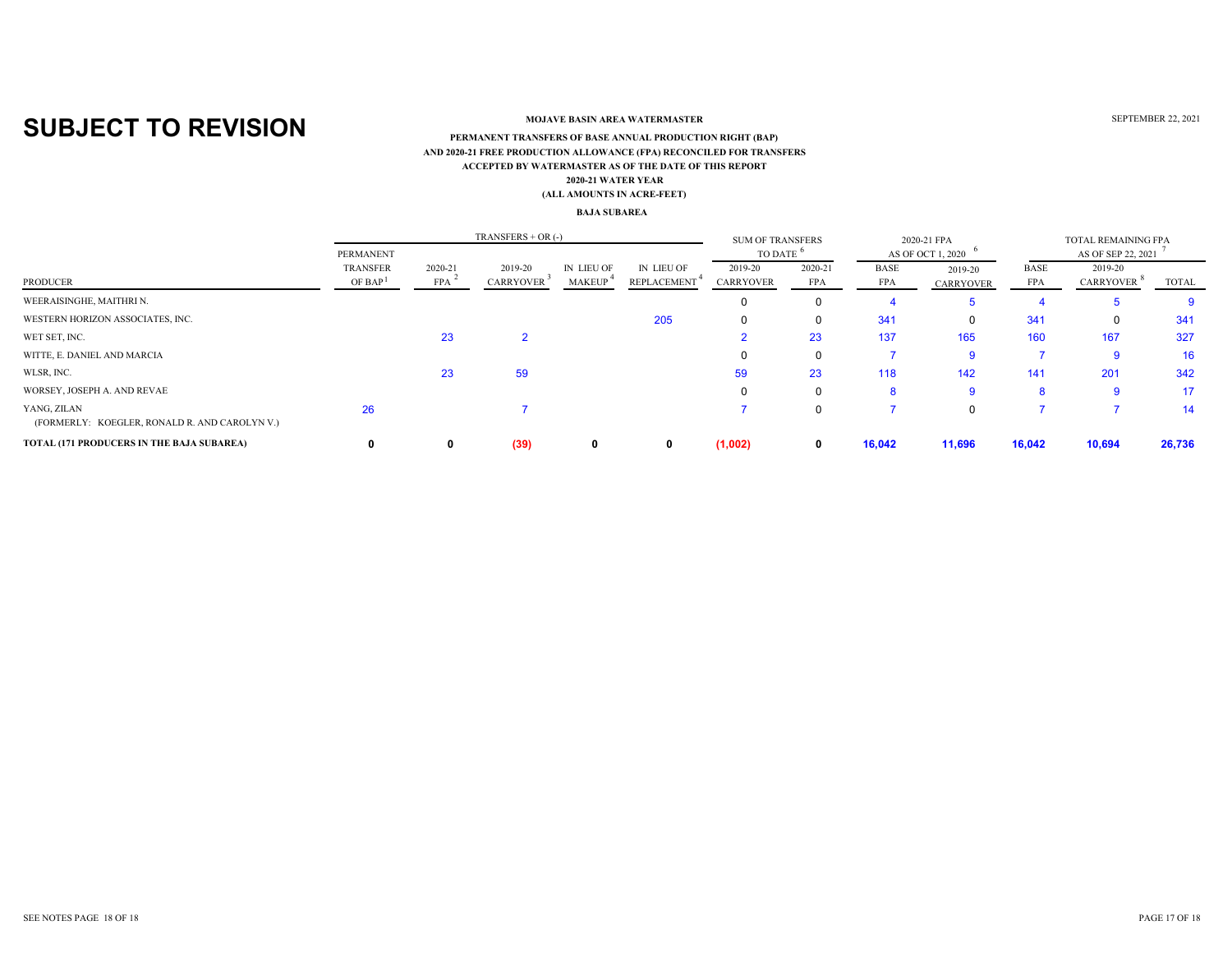### **MOJAVE BASIN AREA WATERMASTER**

#### **ACCEPTED BY WATERMASTER AS OF THE DATE OF THIS REPORT(ALL AMOUNTS IN ACRE-FEET) PERMANENT TRANSFERS OF BASE ANNUAL PRODUCTION RIGHT (BAP) 2020-21 WATER YEAR AND 2020-21 FREE PRODUCTION ALLOWANCE (FPA) RECONCILED FOR TRANSFERS**

#### **BAJA SUBAREA**

|                                                              |                                        | <b>SUM OF TRANSFERS</b> |                             | 2020-21 FPA                 |                           | TOTAL REMAINING FPA  |                       |                           |                             |                    |                             |        |  |
|--------------------------------------------------------------|----------------------------------------|-------------------------|-----------------------------|-----------------------------|---------------------------|----------------------|-----------------------|---------------------------|-----------------------------|--------------------|-----------------------------|--------|--|
| PRODUCER                                                     | PERMANENT                              |                         |                             |                             |                           | TO DATE              |                       | AS OF OCT 1, 2020         |                             |                    | AS OF SEP 22, 2021          |        |  |
|                                                              | <b>TRANSFER</b><br>OF BAP <sup>1</sup> | 2020-21<br><b>FPA</b>   | 2019-20<br><b>CARRYOVER</b> | IN LIEU OF<br><b>MAKEUP</b> | IN LIEU OF<br>REPLACEMENT | 2019-20<br>CARRYOVER | 2020-21<br><b>FPA</b> | <b>BASE</b><br><b>FPA</b> | 2019-20<br><b>CARRYOVER</b> | BASE<br><b>FPA</b> | 2019-20<br><b>CARRYOVER</b> | TOTAL  |  |
| WEERAISINGHE, MAITHRI N.                                     |                                        |                         |                             |                             |                           |                      | $\Omega$              |                           |                             |                    |                             | 9      |  |
| WESTERN HORIZON ASSOCIATES, INC.                             |                                        |                         |                             |                             | 205                       |                      | 0                     | 341                       | 0                           | 341                |                             | 341    |  |
| WET SET, INC.                                                |                                        | 23                      |                             |                             |                           |                      | 23                    | 137                       | 165                         | 160                | 167                         | 327    |  |
| WITTE, E. DANIEL AND MARCIA                                  |                                        |                         |                             |                             |                           |                      | $\Omega$              |                           | 9                           |                    | <b>g</b>                    | 16     |  |
| WLSR, INC.                                                   |                                        | 23                      | 59                          |                             |                           | 59                   | 23                    | 118                       | 142                         | 141                | 201                         | 342    |  |
| WORSEY, JOSEPH A. AND REVAE                                  |                                        |                         |                             |                             |                           |                      | $\Omega$              | 8                         | 9                           | 8                  | -9                          | 17     |  |
| YANG, ZILAN<br>(FORMERLY: KOEGLER, RONALD R. AND CAROLYN V.) | 26                                     |                         |                             |                             |                           |                      | $\Omega$              |                           | 0                           |                    |                             | 14     |  |
| <b>TOTAL (171 PRODUCERS IN THE BAJA SUBAREA)</b>             |                                        | 0                       | (39)                        | 0                           | 0                         | (1,002)              | $\mathbf{0}$          | 16,042                    | 11,696                      | 16,042             | 10,694                      | 26,736 |  |